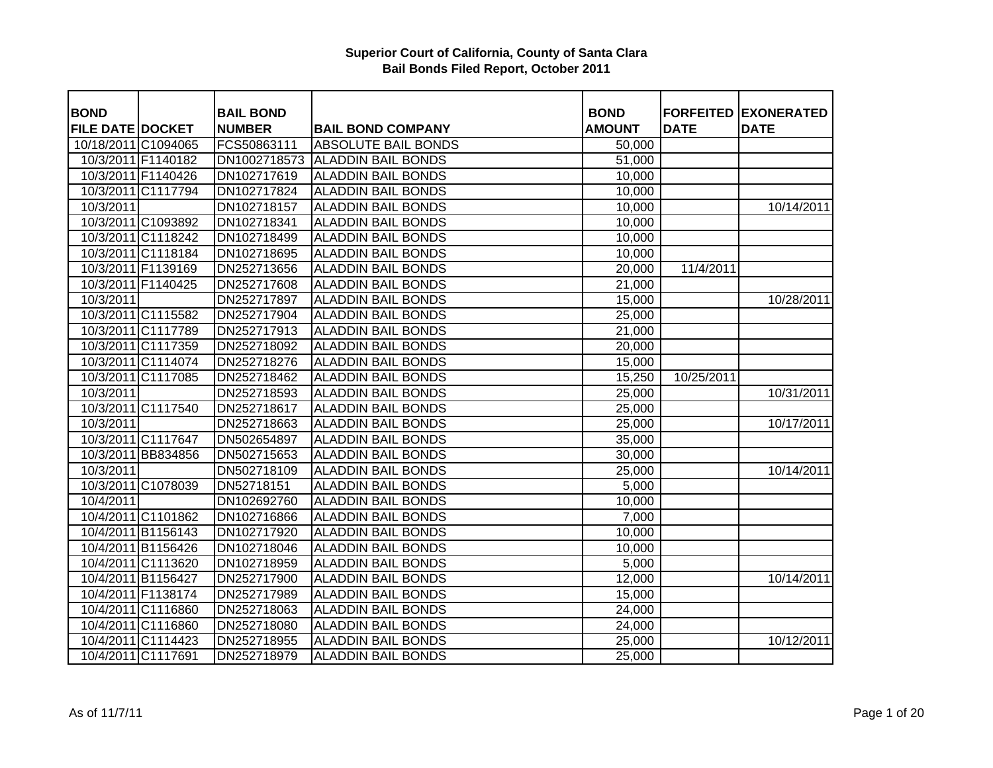| <b>BOND</b>             |                    | <b>BAIL BOND</b> |                                 | <b>BOND</b>   |             | <b>FORFEITED EXONERATED</b> |
|-------------------------|--------------------|------------------|---------------------------------|---------------|-------------|-----------------------------|
| <b>FILE DATE DOCKET</b> |                    | <b>NUMBER</b>    | <b>BAIL BOND COMPANY</b>        | <b>AMOUNT</b> | <b>DATE</b> | <b>DATE</b>                 |
| 10/18/2011 C1094065     |                    | FCS50863111      | <b>ABSOLUTE BAIL BONDS</b>      | 50,000        |             |                             |
|                         | 10/3/2011 F1140182 |                  | DN1002718573 ALADDIN BAIL BONDS | 51,000        |             |                             |
|                         | 10/3/2011 F1140426 | DN102717619      | <b>ALADDIN BAIL BONDS</b>       | 10,000        |             |                             |
|                         | 10/3/2011 C1117794 | DN102717824      | <b>ALADDIN BAIL BONDS</b>       | 10,000        |             |                             |
| 10/3/2011               |                    | DN102718157      | <b>ALADDIN BAIL BONDS</b>       | 10,000        |             | 10/14/2011                  |
|                         | 10/3/2011 C1093892 | DN102718341      | <b>ALADDIN BAIL BONDS</b>       | 10,000        |             |                             |
|                         | 10/3/2011 C1118242 | DN102718499      | <b>ALADDIN BAIL BONDS</b>       | 10,000        |             |                             |
|                         | 10/3/2011 C1118184 | DN102718695      | <b>ALADDIN BAIL BONDS</b>       | 10,000        |             |                             |
|                         | 10/3/2011 F1139169 | DN252713656      | <b>ALADDIN BAIL BONDS</b>       | 20,000        | 11/4/2011   |                             |
|                         | 10/3/2011 F1140425 | DN252717608      | <b>ALADDIN BAIL BONDS</b>       | 21,000        |             |                             |
| 10/3/2011               |                    | DN252717897      | <b>ALADDIN BAIL BONDS</b>       | 15,000        |             | 10/28/2011                  |
|                         | 10/3/2011 C1115582 | DN252717904      | <b>ALADDIN BAIL BONDS</b>       | 25,000        |             |                             |
|                         | 10/3/2011 C1117789 | DN252717913      | <b>ALADDIN BAIL BONDS</b>       | 21,000        |             |                             |
|                         | 10/3/2011 C1117359 | DN252718092      | <b>ALADDIN BAIL BONDS</b>       | 20,000        |             |                             |
|                         | 10/3/2011 C1114074 | DN252718276      | <b>ALADDIN BAIL BONDS</b>       | 15,000        |             |                             |
|                         | 10/3/2011 C1117085 | DN252718462      | <b>ALADDIN BAIL BONDS</b>       | 15,250        | 10/25/2011  |                             |
| 10/3/2011               |                    | DN252718593      | <b>ALADDIN BAIL BONDS</b>       | 25,000        |             | 10/31/2011                  |
|                         | 10/3/2011 C1117540 | DN252718617      | <b>ALADDIN BAIL BONDS</b>       | 25,000        |             |                             |
| 10/3/2011               |                    | DN252718663      | <b>ALADDIN BAIL BONDS</b>       | 25,000        |             | 10/17/2011                  |
|                         | 10/3/2011 C1117647 | DN502654897      | <b>ALADDIN BAIL BONDS</b>       | 35,000        |             |                             |
|                         | 10/3/2011 BB834856 | DN502715653      | <b>ALADDIN BAIL BONDS</b>       | 30,000        |             |                             |
| 10/3/2011               |                    | DN502718109      | <b>ALADDIN BAIL BONDS</b>       | 25,000        |             | 10/14/2011                  |
|                         | 10/3/2011 C1078039 | DN52718151       | <b>ALADDIN BAIL BONDS</b>       | 5,000         |             |                             |
| 10/4/2011               |                    | DN102692760      | <b>ALADDIN BAIL BONDS</b>       | 10,000        |             |                             |
|                         | 10/4/2011 C1101862 | DN102716866      | <b>ALADDIN BAIL BONDS</b>       | 7,000         |             |                             |
|                         | 10/4/2011 B1156143 | DN102717920      | <b>ALADDIN BAIL BONDS</b>       | 10,000        |             |                             |
|                         | 10/4/2011 B1156426 | DN102718046      | <b>ALADDIN BAIL BONDS</b>       | 10,000        |             |                             |
|                         | 10/4/2011 C1113620 | DN102718959      | <b>ALADDIN BAIL BONDS</b>       | 5,000         |             |                             |
|                         | 10/4/2011 B1156427 | DN252717900      | <b>ALADDIN BAIL BONDS</b>       | 12,000        |             | 10/14/2011                  |
|                         | 10/4/2011 F1138174 | DN252717989      | <b>ALADDIN BAIL BONDS</b>       | 15,000        |             |                             |
|                         | 10/4/2011 C1116860 | DN252718063      | <b>ALADDIN BAIL BONDS</b>       | 24,000        |             |                             |
|                         | 10/4/2011 C1116860 | DN252718080      | <b>ALADDIN BAIL BONDS</b>       | 24,000        |             |                             |
|                         | 10/4/2011 C1114423 | DN252718955      | <b>ALADDIN BAIL BONDS</b>       | 25,000        |             | 10/12/2011                  |
|                         | 10/4/2011 C1117691 | DN252718979      | <b>ALADDIN BAIL BONDS</b>       | 25,000        |             |                             |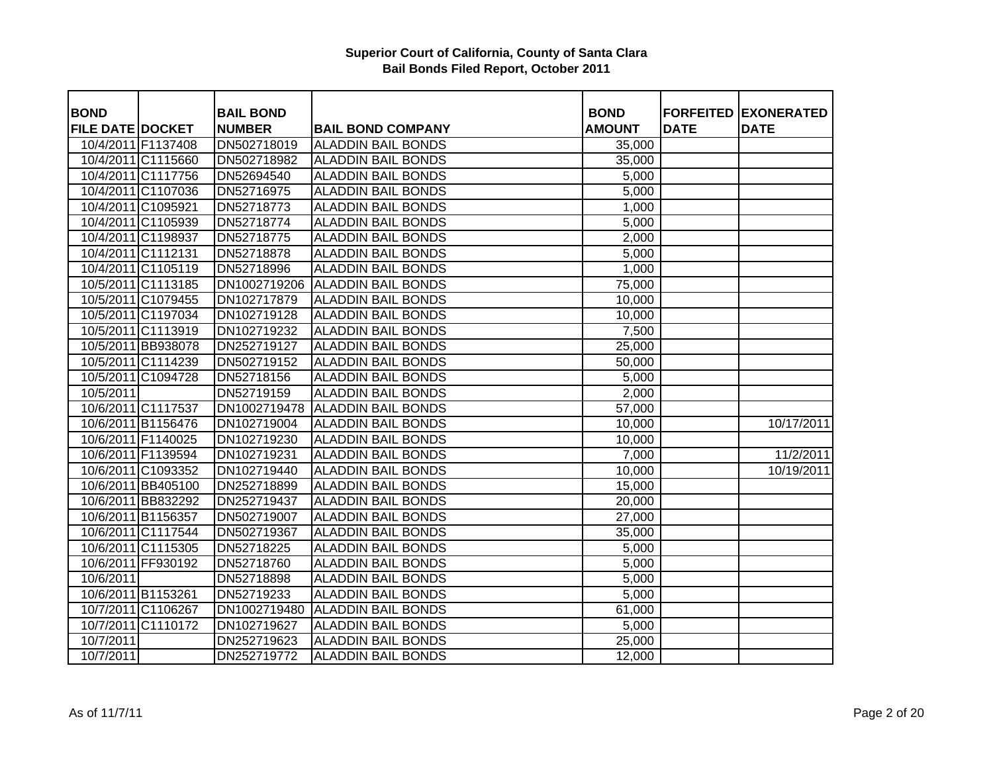| <b>BOND</b>             |                    | <b>BAIL BOND</b> |                           | <b>BOND</b>   |             | <b>FORFEITED EXONERATED</b> |
|-------------------------|--------------------|------------------|---------------------------|---------------|-------------|-----------------------------|
| <b>FILE DATE DOCKET</b> |                    | <b>NUMBER</b>    | <b>BAIL BOND COMPANY</b>  | <b>AMOUNT</b> | <b>DATE</b> | <b>DATE</b>                 |
|                         | 10/4/2011 F1137408 | DN502718019      | <b>ALADDIN BAIL BONDS</b> | 35,000        |             |                             |
|                         | 10/4/2011 C1115660 | DN502718982      | <b>ALADDIN BAIL BONDS</b> | 35,000        |             |                             |
|                         | 10/4/2011 C1117756 | DN52694540       | <b>ALADDIN BAIL BONDS</b> | 5,000         |             |                             |
|                         | 10/4/2011 C1107036 | DN52716975       | <b>ALADDIN BAIL BONDS</b> | 5,000         |             |                             |
|                         | 10/4/2011 C1095921 | DN52718773       | <b>ALADDIN BAIL BONDS</b> | 1,000         |             |                             |
|                         | 10/4/2011 C1105939 | DN52718774       | <b>ALADDIN BAIL BONDS</b> | 5,000         |             |                             |
|                         | 10/4/2011 C1198937 | DN52718775       | <b>ALADDIN BAIL BONDS</b> | 2,000         |             |                             |
|                         | 10/4/2011 C1112131 | DN52718878       | <b>ALADDIN BAIL BONDS</b> | 5,000         |             |                             |
|                         | 10/4/2011 C1105119 | DN52718996       | <b>ALADDIN BAIL BONDS</b> | 1,000         |             |                             |
|                         | 10/5/2011 C1113185 | DN1002719206     | <b>ALADDIN BAIL BONDS</b> | 75,000        |             |                             |
|                         | 10/5/2011 C1079455 | DN102717879      | <b>ALADDIN BAIL BONDS</b> | 10,000        |             |                             |
|                         | 10/5/2011 C1197034 | DN102719128      | <b>ALADDIN BAIL BONDS</b> | 10,000        |             |                             |
|                         | 10/5/2011 C1113919 | DN102719232      | <b>ALADDIN BAIL BONDS</b> | 7,500         |             |                             |
|                         | 10/5/2011 BB938078 | DN252719127      | <b>ALADDIN BAIL BONDS</b> | 25,000        |             |                             |
|                         | 10/5/2011 C1114239 | DN502719152      | <b>ALADDIN BAIL BONDS</b> | 50,000        |             |                             |
|                         | 10/5/2011 C1094728 | DN52718156       | <b>ALADDIN BAIL BONDS</b> | 5,000         |             |                             |
| 10/5/2011               |                    | DN52719159       | <b>ALADDIN BAIL BONDS</b> | 2,000         |             |                             |
|                         | 10/6/2011 C1117537 | DN1002719478     | <b>ALADDIN BAIL BONDS</b> | 57,000        |             |                             |
|                         | 10/6/2011 B1156476 | DN102719004      | <b>ALADDIN BAIL BONDS</b> | 10,000        |             | 10/17/2011                  |
|                         | 10/6/2011 F1140025 | DN102719230      | <b>ALADDIN BAIL BONDS</b> | 10,000        |             |                             |
|                         | 10/6/2011 F1139594 | DN102719231      | <b>ALADDIN BAIL BONDS</b> | 7,000         |             | 11/2/2011                   |
|                         | 10/6/2011 C1093352 | DN102719440      | <b>ALADDIN BAIL BONDS</b> | 10,000        |             | 10/19/2011                  |
|                         | 10/6/2011 BB405100 | DN252718899      | <b>ALADDIN BAIL BONDS</b> | 15,000        |             |                             |
|                         | 10/6/2011 BB832292 | DN252719437      | <b>ALADDIN BAIL BONDS</b> | 20,000        |             |                             |
|                         | 10/6/2011 B1156357 | DN502719007      | <b>ALADDIN BAIL BONDS</b> | 27,000        |             |                             |
|                         | 10/6/2011 C1117544 | DN502719367      | <b>ALADDIN BAIL BONDS</b> | 35,000        |             |                             |
|                         | 10/6/2011 C1115305 | DN52718225       | <b>ALADDIN BAIL BONDS</b> | 5,000         |             |                             |
|                         | 10/6/2011 FF930192 | DN52718760       | <b>ALADDIN BAIL BONDS</b> | 5,000         |             |                             |
| 10/6/2011               |                    | DN52718898       | <b>ALADDIN BAIL BONDS</b> | 5,000         |             |                             |
|                         | 10/6/2011 B1153261 | DN52719233       | <b>ALADDIN BAIL BONDS</b> | 5,000         |             |                             |
|                         | 10/7/2011 C1106267 | DN1002719480     | <b>ALADDIN BAIL BONDS</b> | 61,000        |             |                             |
|                         | 10/7/2011 C1110172 | DN102719627      | <b>ALADDIN BAIL BONDS</b> | 5,000         |             |                             |
| 10/7/2011               |                    | DN252719623      | <b>ALADDIN BAIL BONDS</b> | 25,000        |             |                             |
| 10/7/2011               |                    | DN252719772      | <b>ALADDIN BAIL BONDS</b> | 12,000        |             |                             |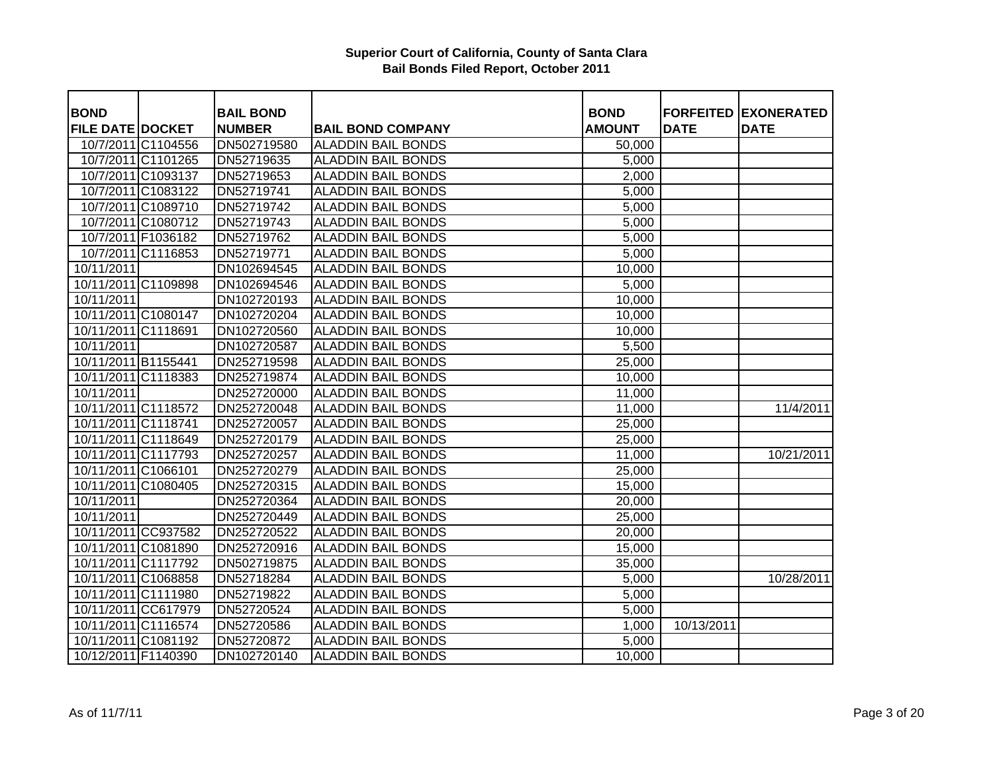| <b>BOND</b>             |                    | <b>BAIL BOND</b> |                           | <b>BOND</b>   |             | <b>FORFEITED EXONERATED</b> |
|-------------------------|--------------------|------------------|---------------------------|---------------|-------------|-----------------------------|
| <b>FILE DATE DOCKET</b> |                    | <b>NUMBER</b>    | <b>BAIL BOND COMPANY</b>  | <b>AMOUNT</b> | <b>DATE</b> | <b>DATE</b>                 |
|                         | 10/7/2011 C1104556 | DN502719580      | <b>ALADDIN BAIL BONDS</b> | 50,000        |             |                             |
|                         | 10/7/2011 C1101265 | DN52719635       | <b>ALADDIN BAIL BONDS</b> | 5,000         |             |                             |
|                         | 10/7/2011 C1093137 | DN52719653       | <b>ALADDIN BAIL BONDS</b> | 2,000         |             |                             |
|                         |                    |                  | <b>ALADDIN BAIL BONDS</b> |               |             |                             |
|                         | 10/7/2011 C1083122 | DN52719741       |                           | 5,000         |             |                             |
|                         | 10/7/2011 C1089710 | DN52719742       | <b>ALADDIN BAIL BONDS</b> | 5,000         |             |                             |
|                         | 10/7/2011 C1080712 | DN52719743       | <b>ALADDIN BAIL BONDS</b> | 5,000         |             |                             |
|                         | 10/7/2011 F1036182 | DN52719762       | <b>ALADDIN BAIL BONDS</b> | 5,000         |             |                             |
|                         | 10/7/2011 C1116853 | DN52719771       | <b>ALADDIN BAIL BONDS</b> | 5,000         |             |                             |
| 10/11/2011              |                    | DN102694545      | <b>ALADDIN BAIL BONDS</b> | 10,000        |             |                             |
| 10/11/2011 C1109898     |                    | DN102694546      | <b>ALADDIN BAIL BONDS</b> | 5,000         |             |                             |
| 10/11/2011              |                    | DN102720193      | <b>ALADDIN BAIL BONDS</b> | 10,000        |             |                             |
| 10/11/2011 C1080147     |                    | DN102720204      | <b>ALADDIN BAIL BONDS</b> | 10,000        |             |                             |
| 10/11/2011 C1118691     |                    | DN102720560      | <b>ALADDIN BAIL BONDS</b> | 10,000        |             |                             |
| 10/11/2011              |                    | DN102720587      | <b>ALADDIN BAIL BONDS</b> | 5,500         |             |                             |
| 10/11/2011 B1155441     |                    | DN252719598      | <b>ALADDIN BAIL BONDS</b> | 25,000        |             |                             |
| 10/11/2011 C1118383     |                    | DN252719874      | <b>ALADDIN BAIL BONDS</b> | 10,000        |             |                             |
| 10/11/2011              |                    | DN252720000      | <b>ALADDIN BAIL BONDS</b> | 11,000        |             |                             |
| 10/11/2011 C1118572     |                    | DN252720048      | <b>ALADDIN BAIL BONDS</b> | 11,000        |             | 11/4/2011                   |
| 10/11/2011 C1118741     |                    | DN252720057      | <b>ALADDIN BAIL BONDS</b> | 25,000        |             |                             |
| 10/11/2011 C1118649     |                    | DN252720179      | <b>ALADDIN BAIL BONDS</b> | 25,000        |             |                             |
| 10/11/2011 C1117793     |                    | DN252720257      | <b>ALADDIN BAIL BONDS</b> | 11,000        |             | 10/21/2011                  |
| 10/11/2011 C1066101     |                    | DN252720279      | <b>ALADDIN BAIL BONDS</b> | 25,000        |             |                             |
| 10/11/2011 C1080405     |                    | DN252720315      | <b>ALADDIN BAIL BONDS</b> | 15,000        |             |                             |
| 10/11/2011              |                    | DN252720364      | <b>ALADDIN BAIL BONDS</b> | 20,000        |             |                             |
| 10/11/2011              |                    | DN252720449      | <b>ALADDIN BAIL BONDS</b> | 25,000        |             |                             |
| 10/11/2011 CC937582     |                    | DN252720522      | <b>ALADDIN BAIL BONDS</b> | 20,000        |             |                             |
| 10/11/2011 C1081890     |                    | DN252720916      | <b>ALADDIN BAIL BONDS</b> | 15,000        |             |                             |
| 10/11/2011 C1117792     |                    | DN502719875      | <b>ALADDIN BAIL BONDS</b> | 35,000        |             |                             |
| 10/11/2011 C1068858     |                    | DN52718284       | <b>ALADDIN BAIL BONDS</b> | 5,000         |             | 10/28/2011                  |
| 10/11/2011 C1111980     |                    | DN52719822       | <b>ALADDIN BAIL BONDS</b> | 5,000         |             |                             |
| 10/11/2011 CC617979     |                    | DN52720524       | <b>ALADDIN BAIL BONDS</b> | 5,000         |             |                             |
| 10/11/2011 C1116574     |                    | DN52720586       | <b>ALADDIN BAIL BONDS</b> | 1,000         | 10/13/2011  |                             |
| 10/11/2011 C1081192     |                    | DN52720872       | <b>ALADDIN BAIL BONDS</b> | 5,000         |             |                             |
| 10/12/2011 F1140390     |                    | DN102720140      | <b>ALADDIN BAIL BONDS</b> | 10,000        |             |                             |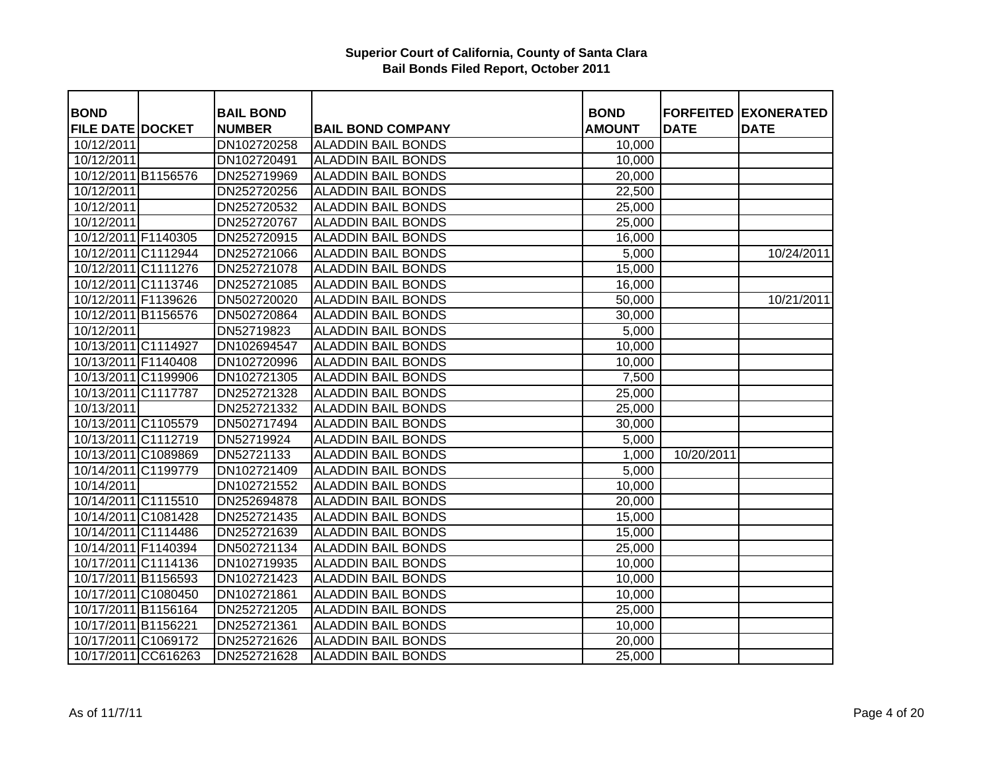| <b>BOND</b>             | <b>BAIL BOND</b> |                           | <b>BOND</b>   |             | <b>FORFEITED EXONERATED</b> |
|-------------------------|------------------|---------------------------|---------------|-------------|-----------------------------|
| <b>FILE DATE DOCKET</b> | <b>NUMBER</b>    | <b>BAIL BOND COMPANY</b>  | <b>AMOUNT</b> | <b>DATE</b> | <b>DATE</b>                 |
| 10/12/2011              | DN102720258      | <b>ALADDIN BAIL BONDS</b> | 10,000        |             |                             |
| 10/12/2011              | DN102720491      | <b>ALADDIN BAIL BONDS</b> | 10,000        |             |                             |
| 10/12/2011 B1156576     | DN252719969      | <b>ALADDIN BAIL BONDS</b> | 20,000        |             |                             |
| 10/12/2011              | DN252720256      | <b>ALADDIN BAIL BONDS</b> | 22,500        |             |                             |
| 10/12/2011              | DN252720532      | <b>ALADDIN BAIL BONDS</b> | 25,000        |             |                             |
| 10/12/2011              | DN252720767      | <b>ALADDIN BAIL BONDS</b> | 25,000        |             |                             |
| 10/12/2011 F1140305     | DN252720915      | <b>ALADDIN BAIL BONDS</b> | 16,000        |             |                             |
| 10/12/2011 C1112944     | DN252721066      | <b>ALADDIN BAIL BONDS</b> | 5,000         |             | 10/24/2011                  |
| 10/12/2011 C1111276     | DN252721078      | <b>ALADDIN BAIL BONDS</b> | 15,000        |             |                             |
| 10/12/2011 C1113746     | DN252721085      | <b>ALADDIN BAIL BONDS</b> | 16,000        |             |                             |
| 10/12/2011 F1139626     | DN502720020      | <b>ALADDIN BAIL BONDS</b> | 50,000        |             | 10/21/2011                  |
| 10/12/2011 B1156576     | DN502720864      | <b>ALADDIN BAIL BONDS</b> | 30,000        |             |                             |
| 10/12/2011              | DN52719823       | <b>ALADDIN BAIL BONDS</b> | 5,000         |             |                             |
| 10/13/2011 C1114927     | DN102694547      | <b>ALADDIN BAIL BONDS</b> | 10,000        |             |                             |
| 10/13/2011 F1140408     | DN102720996      | <b>ALADDIN BAIL BONDS</b> | 10,000        |             |                             |
| 10/13/2011 C1199906     | DN102721305      | <b>ALADDIN BAIL BONDS</b> | 7,500         |             |                             |
| 10/13/2011 C1117787     | DN252721328      | <b>ALADDIN BAIL BONDS</b> | 25,000        |             |                             |
| 10/13/2011              | DN252721332      | <b>ALADDIN BAIL BONDS</b> | 25,000        |             |                             |
| 10/13/2011 C1105579     | DN502717494      | <b>ALADDIN BAIL BONDS</b> | 30,000        |             |                             |
| 10/13/2011 C1112719     | DN52719924       | <b>ALADDIN BAIL BONDS</b> | 5,000         |             |                             |
| 10/13/2011 C1089869     | DN52721133       | <b>ALADDIN BAIL BONDS</b> | 1,000         | 10/20/2011  |                             |
| 10/14/2011 C1199779     | DN102721409      | <b>ALADDIN BAIL BONDS</b> | 5,000         |             |                             |
| 10/14/2011              | DN102721552      | <b>ALADDIN BAIL BONDS</b> | 10,000        |             |                             |
| 10/14/2011 C1115510     | DN252694878      | <b>ALADDIN BAIL BONDS</b> | 20,000        |             |                             |
| 10/14/2011 C1081428     | DN252721435      | <b>ALADDIN BAIL BONDS</b> | 15,000        |             |                             |
| 10/14/2011 C1114486     | DN252721639      | <b>ALADDIN BAIL BONDS</b> | 15,000        |             |                             |
| 10/14/2011 F1140394     | DN502721134      | <b>ALADDIN BAIL BONDS</b> | 25,000        |             |                             |
| 10/17/2011 C1114136     | DN102719935      | <b>ALADDIN BAIL BONDS</b> | 10,000        |             |                             |
| 10/17/2011 B1156593     | DN102721423      | <b>ALADDIN BAIL BONDS</b> | 10,000        |             |                             |
| 10/17/2011 C1080450     | DN102721861      | <b>ALADDIN BAIL BONDS</b> | 10,000        |             |                             |
| 10/17/2011 B1156164     | DN252721205      | <b>ALADDIN BAIL BONDS</b> | 25,000        |             |                             |
| 10/17/2011 B1156221     | DN252721361      | <b>ALADDIN BAIL BONDS</b> | 10,000        |             |                             |
| 10/17/2011 C1069172     | DN252721626      | <b>ALADDIN BAIL BONDS</b> | 20,000        |             |                             |
| 10/17/2011 CC616263     | DN252721628      | <b>ALADDIN BAIL BONDS</b> | 25,000        |             |                             |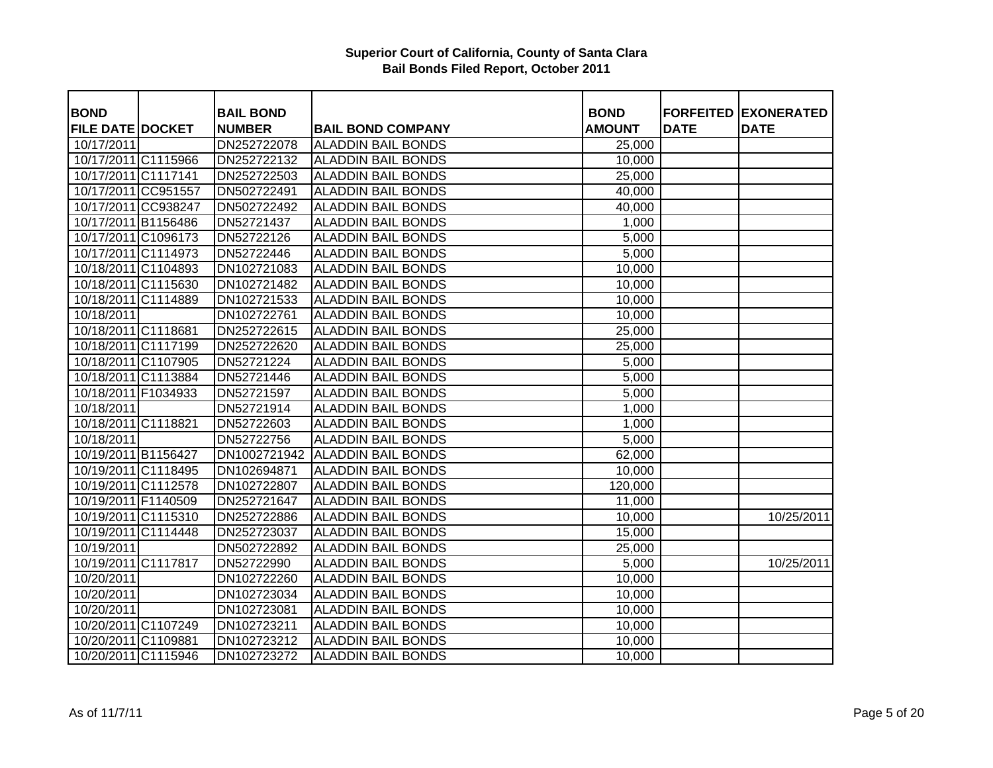| <b>BOND</b>                           | <b>BAIL BOND</b>             |                                                       | <b>BOND</b>             |             | <b>FORFEITED EXONERATED</b> |
|---------------------------------------|------------------------------|-------------------------------------------------------|-------------------------|-------------|-----------------------------|
| <b>FILE DATE DOCKET</b><br>10/17/2011 | <b>NUMBER</b><br>DN252722078 | <b>BAIL BOND COMPANY</b><br><b>ALADDIN BAIL BONDS</b> | <b>AMOUNT</b><br>25,000 | <b>DATE</b> | <b>DATE</b>                 |
| 10/17/2011 C1115966                   | DN252722132                  | <b>ALADDIN BAIL BONDS</b>                             | 10,000                  |             |                             |
| 10/17/2011 C1117141                   | DN252722503                  | <b>ALADDIN BAIL BONDS</b>                             | 25,000                  |             |                             |
|                                       | DN502722491                  | <b>ALADDIN BAIL BONDS</b>                             |                         |             |                             |
| 10/17/2011 CC951557                   |                              |                                                       | 40,000                  |             |                             |
| 10/17/2011 CC938247                   | DN502722492                  | <b>ALADDIN BAIL BONDS</b>                             | 40,000                  |             |                             |
| 10/17/2011 B1156486                   | DN52721437                   | <b>ALADDIN BAIL BONDS</b>                             | 1,000                   |             |                             |
| 10/17/2011 C1096173                   | DN52722126                   | <b>ALADDIN BAIL BONDS</b>                             | 5,000                   |             |                             |
| 10/17/2011 C1114973                   | DN52722446                   | <b>ALADDIN BAIL BONDS</b>                             | 5,000                   |             |                             |
| 10/18/2011 C1104893                   | DN102721083                  | <b>ALADDIN BAIL BONDS</b>                             | 10,000                  |             |                             |
| 10/18/2011 C1115630                   | DN102721482                  | <b>ALADDIN BAIL BONDS</b>                             | 10,000                  |             |                             |
| 10/18/2011 C1114889                   | DN102721533                  | <b>ALADDIN BAIL BONDS</b>                             | 10,000                  |             |                             |
| 10/18/2011                            | DN102722761                  | <b>ALADDIN BAIL BONDS</b>                             | 10,000                  |             |                             |
| 10/18/2011 C1118681                   | DN252722615                  | <b>ALADDIN BAIL BONDS</b>                             | 25,000                  |             |                             |
| 10/18/2011 C1117199                   | DN252722620                  | <b>ALADDIN BAIL BONDS</b>                             | 25,000                  |             |                             |
| 10/18/2011 C1107905                   | DN52721224                   | <b>ALADDIN BAIL BONDS</b>                             | 5,000                   |             |                             |
| 10/18/2011 C1113884                   | DN52721446                   | <b>ALADDIN BAIL BONDS</b>                             | 5,000                   |             |                             |
| 10/18/2011 F1034933                   | DN52721597                   | <b>ALADDIN BAIL BONDS</b>                             | 5,000                   |             |                             |
| $\overline{10}/18/2011$               | DN52721914                   | <b>ALADDIN BAIL BONDS</b>                             | 1,000                   |             |                             |
| 10/18/2011 C1118821                   | DN52722603                   | <b>ALADDIN BAIL BONDS</b>                             | 1,000                   |             |                             |
| 10/18/2011                            | DN52722756                   | <b>ALADDIN BAIL BONDS</b>                             | 5,000                   |             |                             |
| 10/19/2011 B1156427                   | DN1002721942                 | <b>ALADDIN BAIL BONDS</b>                             | 62,000                  |             |                             |
| 10/19/2011 C1118495                   | DN102694871                  | <b>ALADDIN BAIL BONDS</b>                             | 10,000                  |             |                             |
| 10/19/2011 C1112578                   | DN102722807                  | <b>ALADDIN BAIL BONDS</b>                             | 120,000                 |             |                             |
| 10/19/2011 F1140509                   | DN252721647                  | <b>ALADDIN BAIL BONDS</b>                             | 11,000                  |             |                             |
| 10/19/2011 C1115310                   | DN252722886                  | <b>ALADDIN BAIL BONDS</b>                             | 10,000                  |             | 10/25/2011                  |
| 10/19/2011 C1114448                   | DN252723037                  | <b>ALADDIN BAIL BONDS</b>                             | 15,000                  |             |                             |
| 10/19/2011                            | DN502722892                  | <b>ALADDIN BAIL BONDS</b>                             | 25,000                  |             |                             |
| 10/19/2011 C1117817                   | DN52722990                   | <b>ALADDIN BAIL BONDS</b>                             | 5,000                   |             | 10/25/2011                  |
| 10/20/2011                            | DN102722260                  | <b>ALADDIN BAIL BONDS</b>                             | 10,000                  |             |                             |
| 10/20/2011                            | DN102723034                  | <b>ALADDIN BAIL BONDS</b>                             | 10,000                  |             |                             |
| 10/20/2011                            | DN102723081                  | <b>ALADDIN BAIL BONDS</b>                             | 10,000                  |             |                             |
| 10/20/2011 C1107249                   | DN102723211                  | <b>ALADDIN BAIL BONDS</b>                             | 10,000                  |             |                             |
| 10/20/2011 C1109881                   | DN102723212                  | <b>ALADDIN BAIL BONDS</b>                             | 10,000                  |             |                             |
| 10/20/2011 C1115946                   | DN102723272                  | <b>ALADDIN BAIL BONDS</b>                             | 10,000                  |             |                             |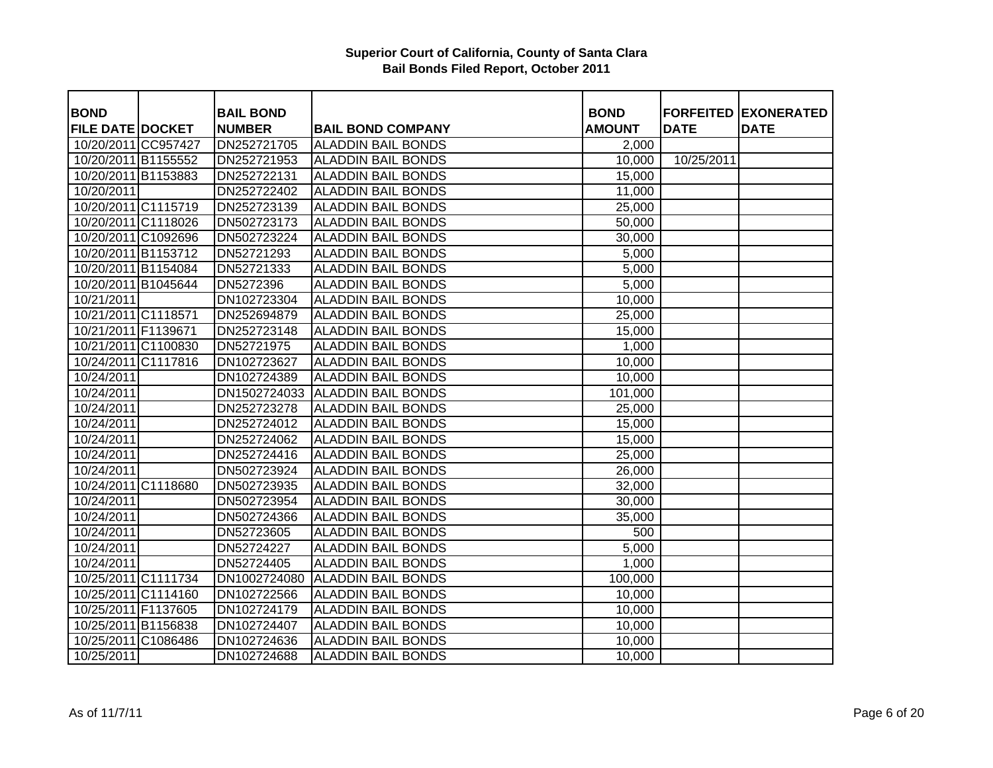| <b>BOND</b>             | <b>BAIL BOND</b> |                           | <b>BOND</b>   |             | <b>FORFEITED EXONERATED</b> |
|-------------------------|------------------|---------------------------|---------------|-------------|-----------------------------|
| <b>FILE DATE DOCKET</b> | <b>NUMBER</b>    | <b>BAIL BOND COMPANY</b>  | <b>AMOUNT</b> | <b>DATE</b> | <b>DATE</b>                 |
| 10/20/2011 CC957427     | DN252721705      | <b>ALADDIN BAIL BONDS</b> | 2,000         |             |                             |
| 10/20/2011 B1155552     | DN252721953      | <b>ALADDIN BAIL BONDS</b> | 10,000        | 10/25/2011  |                             |
| 10/20/2011 B1153883     | DN252722131      | <b>ALADDIN BAIL BONDS</b> | 15,000        |             |                             |
| 10/20/2011              | DN252722402      | <b>ALADDIN BAIL BONDS</b> | 11,000        |             |                             |
| 10/20/2011 C1115719     | DN252723139      | <b>ALADDIN BAIL BONDS</b> | 25,000        |             |                             |
| 10/20/2011 C1118026     | DN502723173      | <b>ALADDIN BAIL BONDS</b> | 50,000        |             |                             |
| 10/20/2011 C1092696     | DN502723224      | <b>ALADDIN BAIL BONDS</b> | 30,000        |             |                             |
| 10/20/2011 B1153712     | DN52721293       | <b>ALADDIN BAIL BONDS</b> | 5,000         |             |                             |
| 10/20/2011 B1154084     | DN52721333       | <b>ALADDIN BAIL BONDS</b> | 5,000         |             |                             |
| 10/20/2011 B1045644     | DN5272396        | <b>ALADDIN BAIL BONDS</b> | 5,000         |             |                             |
| 10/21/2011              | DN102723304      | <b>ALADDIN BAIL BONDS</b> | 10,000        |             |                             |
| 10/21/2011 C1118571     | DN252694879      | <b>ALADDIN BAIL BONDS</b> | 25,000        |             |                             |
| 10/21/2011 F1139671     | DN252723148      | <b>ALADDIN BAIL BONDS</b> | 15,000        |             |                             |
| 10/21/2011 C1100830     | DN52721975       | <b>ALADDIN BAIL BONDS</b> | 1,000         |             |                             |
| 10/24/2011 C1117816     | DN102723627      | <b>ALADDIN BAIL BONDS</b> | 10,000        |             |                             |
| 10/24/2011              | DN102724389      | <b>ALADDIN BAIL BONDS</b> | 10,000        |             |                             |
| 10/24/2011              | DN1502724033     | <b>ALADDIN BAIL BONDS</b> | 101,000       |             |                             |
| 10/24/2011              | DN252723278      | <b>ALADDIN BAIL BONDS</b> | 25,000        |             |                             |
| 10/24/2011              | DN252724012      | <b>ALADDIN BAIL BONDS</b> | 15,000        |             |                             |
| 10/24/2011              | DN252724062      | <b>ALADDIN BAIL BONDS</b> | 15,000        |             |                             |
| 10/24/2011              | DN252724416      | <b>ALADDIN BAIL BONDS</b> | 25,000        |             |                             |
| 10/24/2011              | DN502723924      | <b>ALADDIN BAIL BONDS</b> | 26,000        |             |                             |
| 10/24/2011 C1118680     | DN502723935      | <b>ALADDIN BAIL BONDS</b> | 32,000        |             |                             |
| 10/24/2011              | DN502723954      | <b>ALADDIN BAIL BONDS</b> | 30,000        |             |                             |
| 10/24/2011              | DN502724366      | <b>ALADDIN BAIL BONDS</b> | 35,000        |             |                             |
| 10/24/2011              | DN52723605       | <b>ALADDIN BAIL BONDS</b> | 500           |             |                             |
| 10/24/2011              | DN52724227       | <b>ALADDIN BAIL BONDS</b> | 5,000         |             |                             |
| 10/24/2011              | DN52724405       | <b>ALADDIN BAIL BONDS</b> | 1,000         |             |                             |
| 10/25/2011 C1111734     | DN1002724080     | <b>ALADDIN BAIL BONDS</b> | 100,000       |             |                             |
| 10/25/2011 C1114160     | DN102722566      | <b>ALADDIN BAIL BONDS</b> | 10,000        |             |                             |
| 10/25/2011 F1137605     | DN102724179      | <b>ALADDIN BAIL BONDS</b> | 10,000        |             |                             |
| 10/25/2011 B1156838     | DN102724407      | <b>ALADDIN BAIL BONDS</b> | 10,000        |             |                             |
| 10/25/2011 C1086486     | DN102724636      | <b>ALADDIN BAIL BONDS</b> | 10,000        |             |                             |
| 10/25/2011              | DN102724688      | <b>ALADDIN BAIL BONDS</b> | 10,000        |             |                             |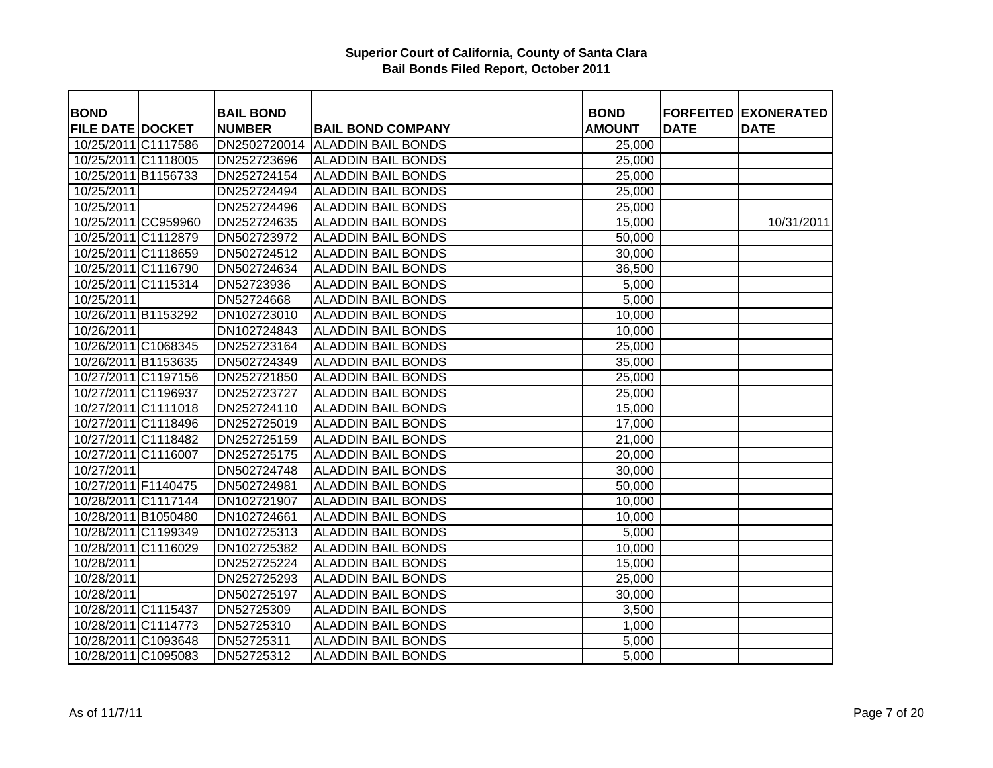| <b>BOND</b>             | <b>BAIL BOND</b> |                           | <b>BOND</b>      |             | <b>FORFEITED EXONERATED</b> |
|-------------------------|------------------|---------------------------|------------------|-------------|-----------------------------|
| <b>FILE DATE DOCKET</b> | <b>NUMBER</b>    | <b>BAIL BOND COMPANY</b>  | <b>AMOUNT</b>    | <b>DATE</b> | <b>DATE</b>                 |
| 10/25/2011 C1117586     | DN2502720014     | <b>ALADDIN BAIL BONDS</b> | 25,000           |             |                             |
| 10/25/2011 C1118005     | DN252723696      | <b>ALADDIN BAIL BONDS</b> | 25,000           |             |                             |
| 10/25/2011 B1156733     | DN252724154      | <b>ALADDIN BAIL BONDS</b> | 25,000           |             |                             |
| 10/25/2011              | DN252724494      | <b>ALADDIN BAIL BONDS</b> | 25,000           |             |                             |
| 10/25/2011              | DN252724496      | <b>ALADDIN BAIL BONDS</b> | 25,000           |             |                             |
| 10/25/2011 CC959960     | DN252724635      | <b>ALADDIN BAIL BONDS</b> | 15,000           |             | 10/31/2011                  |
| 10/25/2011 C1112879     | DN502723972      | <b>ALADDIN BAIL BONDS</b> | 50,000           |             |                             |
| 10/25/2011 C1118659     | DN502724512      | <b>ALADDIN BAIL BONDS</b> | 30,000           |             |                             |
| 10/25/2011 C1116790     | DN502724634      | <b>ALADDIN BAIL BONDS</b> | 36,500           |             |                             |
| 10/25/2011 C1115314     | DN52723936       | <b>ALADDIN BAIL BONDS</b> | 5,000            |             |                             |
| 10/25/2011              | DN52724668       | <b>ALADDIN BAIL BONDS</b> | 5,000            |             |                             |
| 10/26/2011 B1153292     | DN102723010      | <b>ALADDIN BAIL BONDS</b> | 10,000           |             |                             |
| 10/26/2011              | DN102724843      | <b>ALADDIN BAIL BONDS</b> | 10,000           |             |                             |
| 10/26/2011 C1068345     | DN252723164      | <b>ALADDIN BAIL BONDS</b> | 25,000           |             |                             |
| 10/26/2011 B1153635     | DN502724349      | <b>ALADDIN BAIL BONDS</b> |                  |             |                             |
| 10/27/2011 C1197156     | DN252721850      | <b>ALADDIN BAIL BONDS</b> | 35,000<br>25,000 |             |                             |
| 10/27/2011 C1196937     | DN252723727      | <b>ALADDIN BAIL BONDS</b> |                  |             |                             |
|                         |                  | <b>ALADDIN BAIL BONDS</b> | 25,000           |             |                             |
| 10/27/2011 C1111018     | DN252724110      | <b>ALADDIN BAIL BONDS</b> | 15,000           |             |                             |
| 10/27/2011 C1118496     | DN252725019      |                           | 17,000           |             |                             |
| 10/27/2011 C1118482     | DN252725159      | <b>ALADDIN BAIL BONDS</b> | 21,000           |             |                             |
| 10/27/2011 C1116007     | DN252725175      | <b>ALADDIN BAIL BONDS</b> | 20,000           |             |                             |
| 10/27/2011              | DN502724748      | <b>ALADDIN BAIL BONDS</b> | 30,000           |             |                             |
| 10/27/2011 F1140475     | DN502724981      | <b>ALADDIN BAIL BONDS</b> | 50,000           |             |                             |
| 10/28/2011 C1117144     | DN102721907      | <b>ALADDIN BAIL BONDS</b> | 10,000           |             |                             |
| 10/28/2011 B1050480     | DN102724661      | <b>ALADDIN BAIL BONDS</b> | 10,000           |             |                             |
| 10/28/2011 C1199349     | DN102725313      | <b>ALADDIN BAIL BONDS</b> | 5,000            |             |                             |
| 10/28/2011 C1116029     | DN102725382      | <b>ALADDIN BAIL BONDS</b> | 10,000           |             |                             |
| 10/28/2011              | DN252725224      | <b>ALADDIN BAIL BONDS</b> | 15,000           |             |                             |
| 10/28/2011              | DN252725293      | <b>ALADDIN BAIL BONDS</b> | 25,000           |             |                             |
| 10/28/2011              | DN502725197      | <b>ALADDIN BAIL BONDS</b> | 30,000           |             |                             |
| 10/28/2011 C1115437     | DN52725309       | <b>ALADDIN BAIL BONDS</b> | 3,500            |             |                             |
| 10/28/2011 C1114773     | DN52725310       | <b>ALADDIN BAIL BONDS</b> | 1,000            |             |                             |
| 10/28/2011 C1093648     | DN52725311       | <b>ALADDIN BAIL BONDS</b> | 5,000            |             |                             |
| 10/28/2011 C1095083     | DN52725312       | <b>ALADDIN BAIL BONDS</b> | 5,000            |             |                             |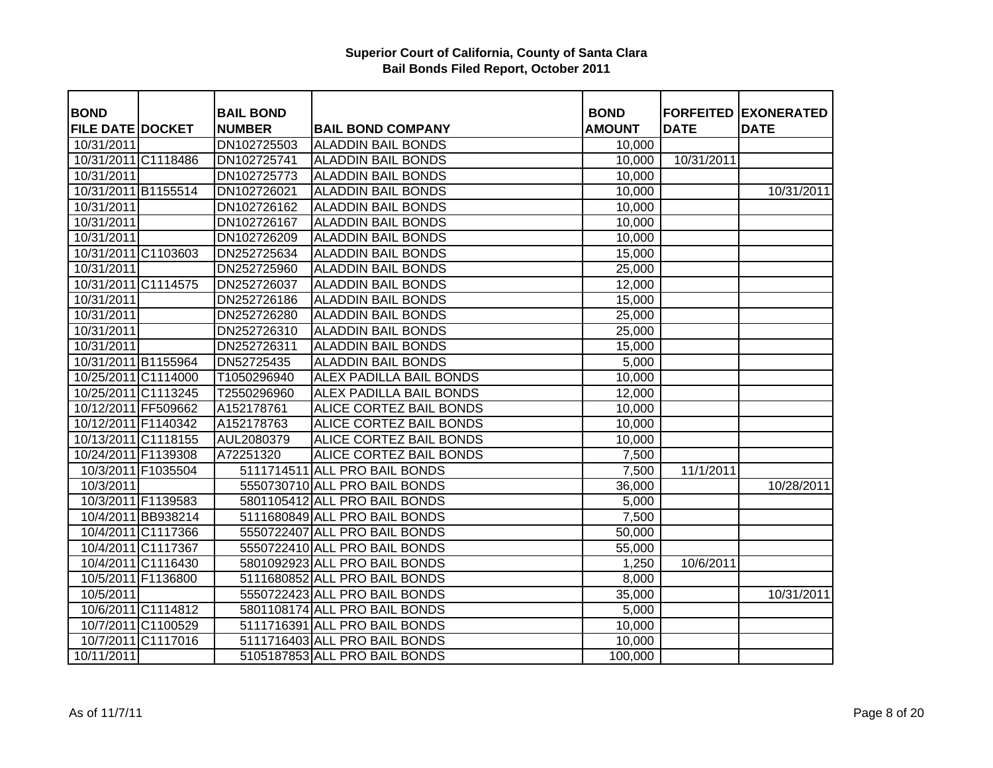| <b>BOND</b>             |                    | <b>BAIL BOND</b> |                                | <b>BOND</b>   |             | <b>FORFEITED EXONERATED</b> |
|-------------------------|--------------------|------------------|--------------------------------|---------------|-------------|-----------------------------|
| <b>FILE DATE DOCKET</b> |                    | <b>NUMBER</b>    | <b>BAIL BOND COMPANY</b>       | <b>AMOUNT</b> | <b>DATE</b> | <b>DATE</b>                 |
| 10/31/2011              |                    | DN102725503      | <b>ALADDIN BAIL BONDS</b>      | 10,000        |             |                             |
| 10/31/2011 C1118486     |                    | DN102725741      | <b>ALADDIN BAIL BONDS</b>      | 10,000        | 10/31/2011  |                             |
| 10/31/2011              |                    | DN102725773      | <b>ALADDIN BAIL BONDS</b>      | 10,000        |             |                             |
| 10/31/2011 B1155514     |                    | DN102726021      | <b>ALADDIN BAIL BONDS</b>      | 10,000        |             | 10/31/2011                  |
| 10/31/2011              |                    | DN102726162      | <b>ALADDIN BAIL BONDS</b>      | 10,000        |             |                             |
| 10/31/2011              |                    | DN102726167      | <b>ALADDIN BAIL BONDS</b>      | 10,000        |             |                             |
| 10/31/2011              |                    | DN102726209      | <b>ALADDIN BAIL BONDS</b>      | 10,000        |             |                             |
| 10/31/2011 C1103603     |                    | DN252725634      | <b>ALADDIN BAIL BONDS</b>      | 15,000        |             |                             |
| 10/31/2011              |                    | DN252725960      | <b>ALADDIN BAIL BONDS</b>      | 25,000        |             |                             |
| 10/31/2011 C1114575     |                    | DN252726037      | <b>ALADDIN BAIL BONDS</b>      | 12,000        |             |                             |
| 10/31/2011              |                    | DN252726186      | <b>ALADDIN BAIL BONDS</b>      | 15,000        |             |                             |
| 10/31/2011              |                    | DN252726280      | <b>ALADDIN BAIL BONDS</b>      | 25,000        |             |                             |
| 10/31/2011              |                    | DN252726310      | <b>ALADDIN BAIL BONDS</b>      | 25,000        |             |                             |
| 10/31/2011              |                    | DN252726311      | <b>ALADDIN BAIL BONDS</b>      | 15,000        |             |                             |
| 10/31/2011 B1155964     |                    | DN52725435       | <b>ALADDIN BAIL BONDS</b>      | 5,000         |             |                             |
| 10/25/2011 C1114000     |                    | T1050296940      | <b>ALEX PADILLA BAIL BONDS</b> | 10,000        |             |                             |
| 10/25/2011 C1113245     |                    | T2550296960      | <b>ALEX PADILLA BAIL BONDS</b> | 12,000        |             |                             |
| 10/12/2011 FF509662     |                    | A152178761       | ALICE CORTEZ BAIL BONDS        | 10,000        |             |                             |
| 10/12/2011 F1140342     |                    | A152178763       | ALICE CORTEZ BAIL BONDS        | 10,000        |             |                             |
| 10/13/2011 C1118155     |                    | AUL2080379       | ALICE CORTEZ BAIL BONDS        | 10,000        |             |                             |
| 10/24/2011 F1139308     |                    | A72251320        | ALICE CORTEZ BAIL BONDS        | 7,500         |             |                             |
|                         | 10/3/2011 F1035504 | 5111714511       | <b>ALL PRO BAIL BONDS</b>      | 7,500         | 11/1/2011   |                             |
| 10/3/2011               |                    |                  | 5550730710 ALL PRO BAIL BONDS  | 36,000        |             | 10/28/2011                  |
|                         | 10/3/2011 F1139583 |                  | 5801105412 ALL PRO BAIL BONDS  | 5,000         |             |                             |
|                         | 10/4/2011 BB938214 |                  | 5111680849 ALL PRO BAIL BONDS  | 7,500         |             |                             |
|                         | 10/4/2011 C1117366 |                  | 5550722407 ALL PRO BAIL BONDS  | 50,000        |             |                             |
|                         | 10/4/2011 C1117367 |                  | 5550722410 ALL PRO BAIL BONDS  | 55,000        |             |                             |
|                         | 10/4/2011 C1116430 |                  | 5801092923 ALL PRO BAIL BONDS  | 1,250         | 10/6/2011   |                             |
|                         | 10/5/2011 F1136800 |                  | 5111680852 ALL PRO BAIL BONDS  | 8,000         |             |                             |
| 10/5/2011               |                    |                  | 5550722423 ALL PRO BAIL BONDS  | 35,000        |             | 10/31/2011                  |
|                         | 10/6/2011 C1114812 |                  | 5801108174 ALL PRO BAIL BONDS  | 5,000         |             |                             |
|                         | 10/7/2011 C1100529 |                  | 5111716391 ALL PRO BAIL BONDS  | 10,000        |             |                             |
|                         | 10/7/2011 C1117016 |                  | 5111716403 ALL PRO BAIL BONDS  | 10,000        |             |                             |
| 10/11/2011              |                    |                  | 5105187853 ALL PRO BAIL BONDS  | 100,000       |             |                             |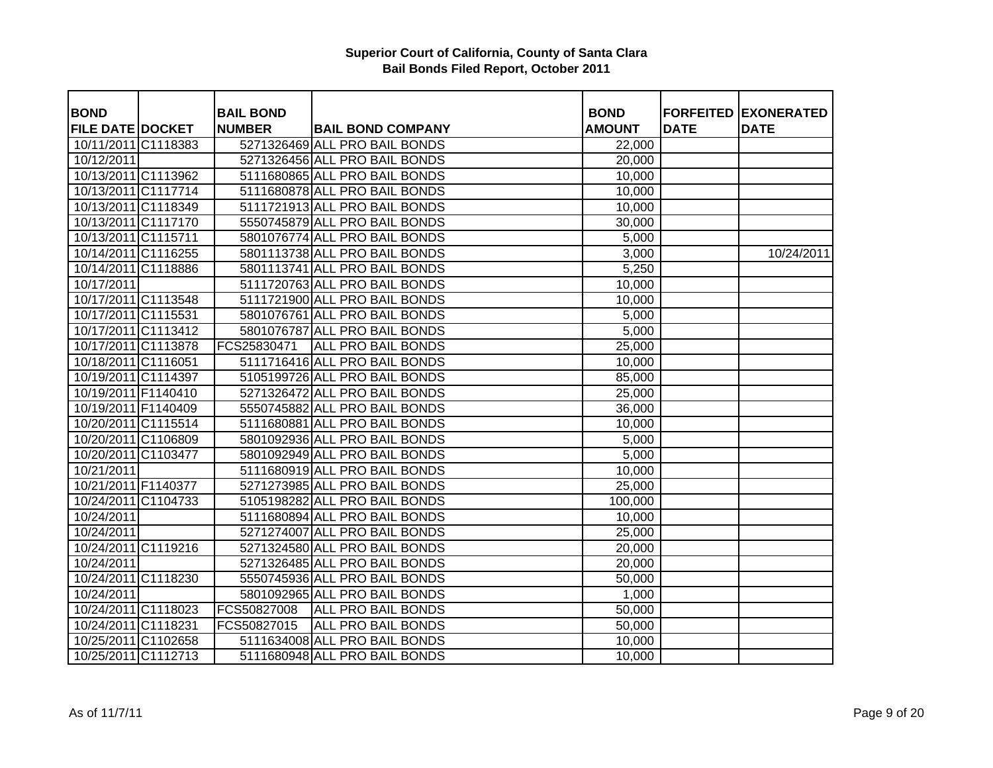| <b>BOND</b>             | <b>BAIL BOND</b> |                               | <b>BOND</b>   |             | <b>FORFEITED EXONERATED</b> |
|-------------------------|------------------|-------------------------------|---------------|-------------|-----------------------------|
| <b>FILE DATE DOCKET</b> | <b>NUMBER</b>    | <b>BAIL BOND COMPANY</b>      | <b>AMOUNT</b> | <b>DATE</b> | <b>DATE</b>                 |
| 10/11/2011 C1118383     |                  | 5271326469 ALL PRO BAIL BONDS | 22,000        |             |                             |
| 10/12/2011              |                  | 5271326456 ALL PRO BAIL BONDS | 20,000        |             |                             |
| 10/13/2011 C1113962     |                  | 5111680865 ALL PRO BAIL BONDS | 10,000        |             |                             |
| 10/13/2011 C1117714     |                  | 5111680878 ALL PRO BAIL BONDS | 10,000        |             |                             |
| 10/13/2011 C1118349     |                  | 5111721913 ALL PRO BAIL BONDS | 10,000        |             |                             |
| 10/13/2011 C1117170     |                  | 5550745879 ALL PRO BAIL BONDS | 30,000        |             |                             |
| 10/13/2011 C1115711     |                  | 5801076774 ALL PRO BAIL BONDS | 5,000         |             |                             |
| 10/14/2011 C1116255     |                  | 5801113738 ALL PRO BAIL BONDS | 3,000         |             | 10/24/2011                  |
| 10/14/2011 C1118886     |                  | 5801113741 ALL PRO BAIL BONDS | 5,250         |             |                             |
| 10/17/2011              |                  | 5111720763 ALL PRO BAIL BONDS | 10,000        |             |                             |
| 10/17/2011 C1113548     |                  | 5111721900 ALL PRO BAIL BONDS | 10,000        |             |                             |
| 10/17/2011 C1115531     |                  | 5801076761 ALL PRO BAIL BONDS | 5,000         |             |                             |
| 10/17/2011 C1113412     |                  | 5801076787 ALL PRO BAIL BONDS | 5,000         |             |                             |
| 10/17/2011 C1113878     | FCS25830471      | <b>ALL PRO BAIL BONDS</b>     | 25,000        |             |                             |
| 10/18/2011 C1116051     |                  | 5111716416 ALL PRO BAIL BONDS | 10,000        |             |                             |
| 10/19/2011 C1114397     |                  | 5105199726 ALL PRO BAIL BONDS | 85,000        |             |                             |
| 10/19/2011 F1140410     |                  | 5271326472 ALL PRO BAIL BONDS | 25,000        |             |                             |
| 10/19/2011 F1140409     |                  | 5550745882 ALL PRO BAIL BONDS | 36,000        |             |                             |
| 10/20/2011 C1115514     |                  | 5111680881 ALL PRO BAIL BONDS | 10,000        |             |                             |
| 10/20/2011 C1106809     |                  | 5801092936 ALL PRO BAIL BONDS | 5,000         |             |                             |
| 10/20/2011 C1103477     |                  | 5801092949 ALL PRO BAIL BONDS | 5,000         |             |                             |
| 10/21/2011              |                  | 5111680919 ALL PRO BAIL BONDS | 10,000        |             |                             |
| 10/21/2011 F1140377     |                  | 5271273985 ALL PRO BAIL BONDS | 25,000        |             |                             |
| 10/24/2011 C1104733     |                  | 5105198282 ALL PRO BAIL BONDS | 100,000       |             |                             |
| 10/24/2011              |                  | 5111680894 ALL PRO BAIL BONDS | 10,000        |             |                             |
| 10/24/2011              |                  | 5271274007 ALL PRO BAIL BONDS | 25,000        |             |                             |
| 10/24/2011 C1119216     |                  | 5271324580 ALL PRO BAIL BONDS | 20,000        |             |                             |
| 10/24/2011              |                  | 5271326485 ALL PRO BAIL BONDS | 20,000        |             |                             |
| 10/24/2011 C1118230     |                  | 5550745936 ALL PRO BAIL BONDS | 50,000        |             |                             |
| 10/24/2011              |                  | 5801092965 ALL PRO BAIL BONDS | 1,000         |             |                             |
| 10/24/2011 C1118023     | FCS50827008      | <b>ALL PRO BAIL BONDS</b>     | 50,000        |             |                             |
| 10/24/2011 C1118231     | FCS50827015      | <b>ALL PRO BAIL BONDS</b>     | 50,000        |             |                             |
| 10/25/2011 C1102658     |                  | 5111634008 ALL PRO BAIL BONDS | 10,000        |             |                             |
| 10/25/2011 C1112713     |                  | 5111680948 ALL PRO BAIL BONDS | 10,000        |             |                             |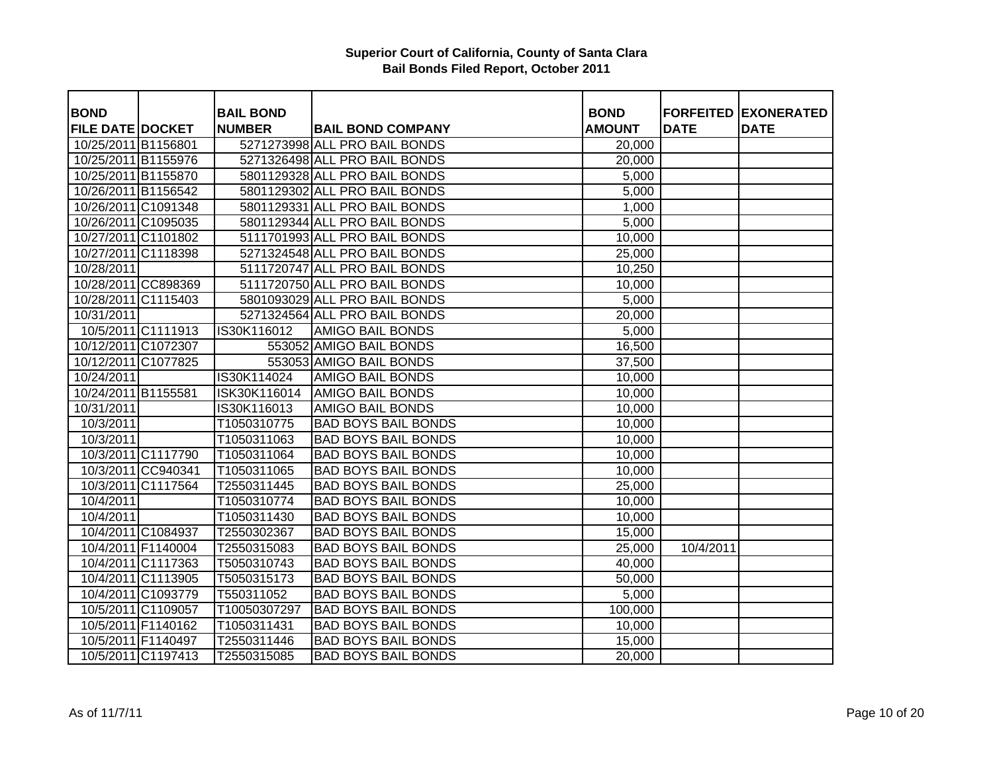|                         |                    |                  |                               |               |             | <b>FORFEITED EXONERATED</b> |
|-------------------------|--------------------|------------------|-------------------------------|---------------|-------------|-----------------------------|
| <b>BOND</b>             |                    | <b>BAIL BOND</b> |                               | <b>BOND</b>   |             |                             |
| <b>FILE DATE DOCKET</b> |                    | <b>NUMBER</b>    | <b>BAIL BOND COMPANY</b>      | <b>AMOUNT</b> | <b>DATE</b> | <b>DATE</b>                 |
| 10/25/2011 B1156801     |                    |                  | 5271273998 ALL PRO BAIL BONDS | 20,000        |             |                             |
| 10/25/2011 B1155976     |                    |                  | 5271326498 ALL PRO BAIL BONDS | 20,000        |             |                             |
| 10/25/2011 B1155870     |                    |                  | 5801129328 ALL PRO BAIL BONDS | 5,000         |             |                             |
| 10/26/2011 B1156542     |                    |                  | 5801129302 ALL PRO BAIL BONDS | 5,000         |             |                             |
| 10/26/2011 C1091348     |                    |                  | 5801129331 ALL PRO BAIL BONDS | 1,000         |             |                             |
| 10/26/2011 C1095035     |                    |                  | 5801129344 ALL PRO BAIL BONDS | 5,000         |             |                             |
| 10/27/2011 C1101802     |                    |                  | 5111701993 ALL PRO BAIL BONDS | 10,000        |             |                             |
| 10/27/2011 C1118398     |                    |                  | 5271324548 ALL PRO BAIL BONDS | 25,000        |             |                             |
| 10/28/2011              |                    |                  | 5111720747 ALL PRO BAIL BONDS | 10,250        |             |                             |
| 10/28/2011 CC898369     |                    |                  | 5111720750 ALL PRO BAIL BONDS | 10,000        |             |                             |
| 10/28/2011 C1115403     |                    |                  | 5801093029 ALL PRO BAIL BONDS | 5,000         |             |                             |
| 10/31/2011              |                    |                  | 5271324564 ALL PRO BAIL BONDS | 20,000        |             |                             |
|                         | 10/5/2011 C1111913 | IS30K116012      | <b>AMIGO BAIL BONDS</b>       | 5,000         |             |                             |
| 10/12/2011 C1072307     |                    |                  | 553052 AMIGO BAIL BONDS       | 16,500        |             |                             |
| 10/12/2011 C1077825     |                    |                  | 553053 AMIGO BAIL BONDS       | 37,500        |             |                             |
| 10/24/2011              |                    | IS30K114024      | <b>AMIGO BAIL BONDS</b>       | 10,000        |             |                             |
| 10/24/2011 B1155581     |                    | ISK30K116014     | <b>AMIGO BAIL BONDS</b>       | 10,000        |             |                             |
| 10/31/2011              |                    | IS30K116013      | <b>AMIGO BAIL BONDS</b>       | 10,000        |             |                             |
| 10/3/2011               |                    | T1050310775      | <b>BAD BOYS BAIL BONDS</b>    | 10,000        |             |                             |
| 10/3/2011               |                    | T1050311063      | <b>BAD BOYS BAIL BONDS</b>    | 10,000        |             |                             |
|                         | 10/3/2011 C1117790 | T1050311064      | <b>BAD BOYS BAIL BONDS</b>    | 10,000        |             |                             |
|                         | 10/3/2011 CC940341 | T1050311065      | <b>BAD BOYS BAIL BONDS</b>    | 10,000        |             |                             |
|                         | 10/3/2011 C1117564 | T2550311445      | <b>BAD BOYS BAIL BONDS</b>    | 25,000        |             |                             |
| 10/4/2011               |                    | T1050310774      | <b>BAD BOYS BAIL BONDS</b>    | 10,000        |             |                             |
| 10/4/2011               |                    | T1050311430      | <b>BAD BOYS BAIL BONDS</b>    | 10,000        |             |                             |
|                         | 10/4/2011 C1084937 | T2550302367      | <b>BAD BOYS BAIL BONDS</b>    | 15,000        |             |                             |
|                         | 10/4/2011 F1140004 | T2550315083      | <b>BAD BOYS BAIL BONDS</b>    | 25,000        | 10/4/2011   |                             |
|                         | 10/4/2011 C1117363 | T5050310743      | <b>BAD BOYS BAIL BONDS</b>    | 40,000        |             |                             |
|                         | 10/4/2011 C1113905 | T5050315173      | <b>BAD BOYS BAIL BONDS</b>    | 50,000        |             |                             |
|                         | 10/4/2011 C1093779 | T550311052       | <b>BAD BOYS BAIL BONDS</b>    | 5,000         |             |                             |
|                         | 10/5/2011 C1109057 | T10050307297     | <b>BAD BOYS BAIL BONDS</b>    | 100,000       |             |                             |
|                         | 10/5/2011 F1140162 | T1050311431      | <b>BAD BOYS BAIL BONDS</b>    | 10,000        |             |                             |
|                         | 10/5/2011 F1140497 | T2550311446      | <b>BAD BOYS BAIL BONDS</b>    | 15,000        |             |                             |
|                         | 10/5/2011 C1197413 | T2550315085      | <b>BAD BOYS BAIL BONDS</b>    | 20,000        |             |                             |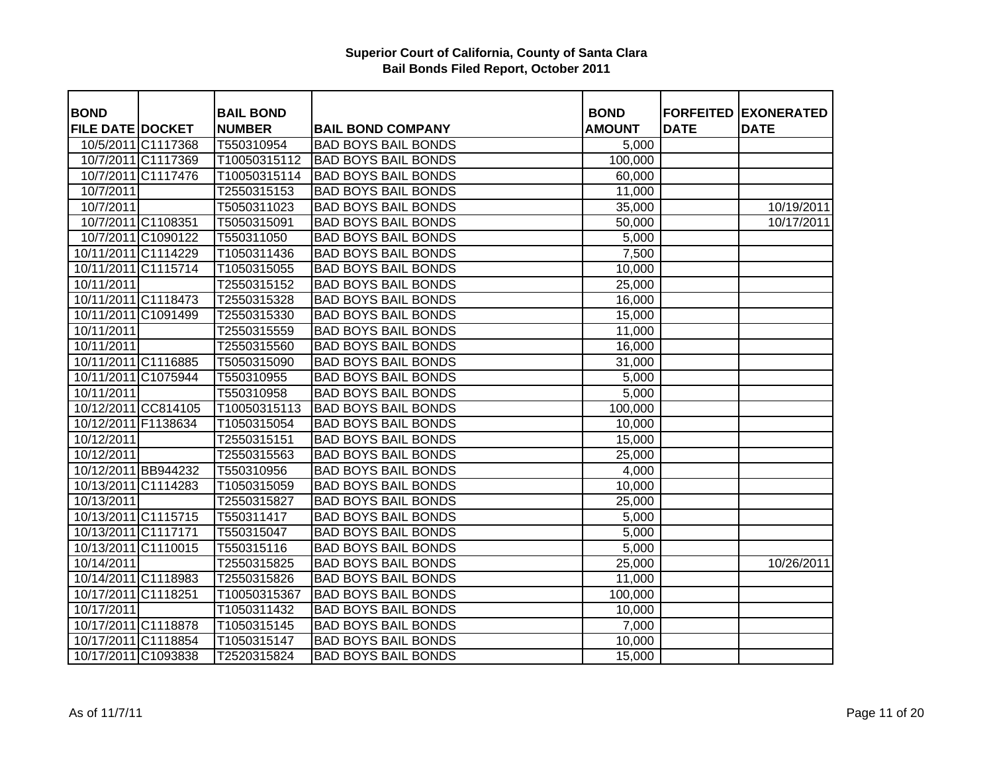| <b>BOND</b>             |                    | <b>BAIL BOND</b> |                            | <b>BOND</b>   |             | <b>FORFEITED EXONERATED</b> |
|-------------------------|--------------------|------------------|----------------------------|---------------|-------------|-----------------------------|
| <b>FILE DATE DOCKET</b> |                    | <b>NUMBER</b>    | <b>BAIL BOND COMPANY</b>   | <b>AMOUNT</b> | <b>DATE</b> | <b>DATE</b>                 |
|                         | 10/5/2011 C1117368 | T550310954       | <b>BAD BOYS BAIL BONDS</b> | 5,000         |             |                             |
|                         | 10/7/2011 C1117369 | T10050315112     | <b>BAD BOYS BAIL BONDS</b> | 100,000       |             |                             |
|                         | 10/7/2011 C1117476 | T10050315114     | <b>BAD BOYS BAIL BONDS</b> | 60,000        |             |                             |
| 10/7/2011               |                    | T2550315153      | <b>BAD BOYS BAIL BONDS</b> | 11,000        |             |                             |
| 10/7/2011               |                    | T5050311023      | <b>BAD BOYS BAIL BONDS</b> | 35,000        |             | 10/19/2011                  |
|                         | 10/7/2011 C1108351 | T5050315091      | <b>BAD BOYS BAIL BONDS</b> | 50,000        |             | 10/17/2011                  |
|                         | 10/7/2011 C1090122 | T550311050       | <b>BAD BOYS BAIL BONDS</b> | 5,000         |             |                             |
| 10/11/2011 C1114229     |                    | T1050311436      | <b>BAD BOYS BAIL BONDS</b> | 7,500         |             |                             |
| 10/11/2011 C1115714     |                    | T1050315055      | <b>BAD BOYS BAIL BONDS</b> | 10,000        |             |                             |
| 10/11/2011              |                    | T2550315152      | <b>BAD BOYS BAIL BONDS</b> | 25,000        |             |                             |
| 10/11/2011 C1118473     |                    | T2550315328      | <b>BAD BOYS BAIL BONDS</b> | 16,000        |             |                             |
| 10/11/2011 C1091499     |                    | T2550315330      | <b>BAD BOYS BAIL BONDS</b> | 15,000        |             |                             |
| 10/11/2011              |                    | T2550315559      | <b>BAD BOYS BAIL BONDS</b> | 11,000        |             |                             |
| 10/11/2011              |                    | T2550315560      | <b>BAD BOYS BAIL BONDS</b> | 16,000        |             |                             |
| 10/11/2011 C1116885     |                    | T5050315090      | <b>BAD BOYS BAIL BONDS</b> | 31,000        |             |                             |
| 10/11/2011 C1075944     |                    | T550310955       | <b>BAD BOYS BAIL BONDS</b> | 5,000         |             |                             |
| $\frac{10}{1}$ 1/2011   |                    | T550310958       | <b>BAD BOYS BAIL BONDS</b> | 5,000         |             |                             |
| 10/12/2011 CC814105     |                    | T10050315113     | <b>BAD BOYS BAIL BONDS</b> | 100,000       |             |                             |
| 10/12/2011 F1138634     |                    | T1050315054      | <b>BAD BOYS BAIL BONDS</b> | 10,000        |             |                             |
| 10/12/2011              |                    | T2550315151      | <b>BAD BOYS BAIL BONDS</b> | 15,000        |             |                             |
| 10/12/2011              |                    | T2550315563      | <b>BAD BOYS BAIL BONDS</b> | 25,000        |             |                             |
| 10/12/2011 BB944232     |                    | T550310956       | <b>BAD BOYS BAIL BONDS</b> | 4,000         |             |                             |
| 10/13/2011 C1114283     |                    | T1050315059      | <b>BAD BOYS BAIL BONDS</b> | 10,000        |             |                             |
| 10/13/2011              |                    | T2550315827      | <b>BAD BOYS BAIL BONDS</b> | 25,000        |             |                             |
| 10/13/2011 C1115715     |                    | T550311417       | <b>BAD BOYS BAIL BONDS</b> | 5,000         |             |                             |
| 10/13/2011 C1117171     |                    | T550315047       | <b>BAD BOYS BAIL BONDS</b> | 5,000         |             |                             |
| 10/13/2011 C1110015     |                    | T550315116       | <b>BAD BOYS BAIL BONDS</b> | 5,000         |             |                             |
| 10/14/2011              |                    | T2550315825      | <b>BAD BOYS BAIL BONDS</b> | 25,000        |             | 10/26/2011                  |
| 10/14/2011 C1118983     |                    | T2550315826      | <b>BAD BOYS BAIL BONDS</b> | 11,000        |             |                             |
| 10/17/2011 C1118251     |                    | T10050315367     | <b>BAD BOYS BAIL BONDS</b> | 100,000       |             |                             |
| 10/17/2011              |                    | T1050311432      | <b>BAD BOYS BAIL BONDS</b> | 10,000        |             |                             |
| 10/17/2011 C1118878     |                    | T1050315145      | <b>BAD BOYS BAIL BONDS</b> | 7,000         |             |                             |
| 10/17/2011 C1118854     |                    | T1050315147      | <b>BAD BOYS BAIL BONDS</b> | 10,000        |             |                             |
| 10/17/2011 C1093838     |                    | T2520315824      | <b>BAD BOYS BAIL BONDS</b> | 15,000        |             |                             |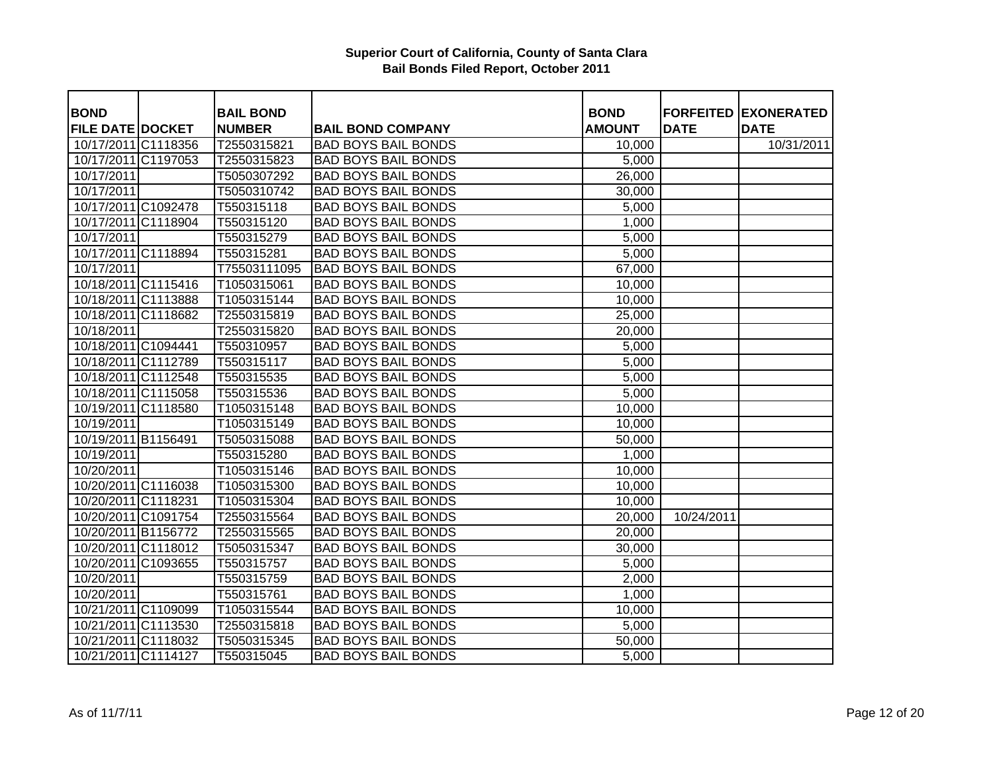| <b>BOND</b>             | <b>BAIL BOND</b> |                            | <b>BOND</b>   |             | <b>FORFEITED EXONERATED</b> |
|-------------------------|------------------|----------------------------|---------------|-------------|-----------------------------|
| <b>FILE DATE DOCKET</b> | <b>NUMBER</b>    | <b>BAIL BOND COMPANY</b>   | <b>AMOUNT</b> | <b>DATE</b> | <b>DATE</b>                 |
| 10/17/2011 C1118356     | T2550315821      | <b>BAD BOYS BAIL BONDS</b> | 10,000        |             | 10/31/2011                  |
| 10/17/2011 C1197053     | T2550315823      | <b>BAD BOYS BAIL BONDS</b> | 5,000         |             |                             |
| 10/17/2011              | T5050307292      | <b>BAD BOYS BAIL BONDS</b> | 26,000        |             |                             |
| 10/17/2011              | T5050310742      | <b>BAD BOYS BAIL BONDS</b> | 30,000        |             |                             |
| 10/17/2011 C1092478     | T550315118       | <b>BAD BOYS BAIL BONDS</b> | 5,000         |             |                             |
| 10/17/2011 C1118904     | T550315120       | <b>BAD BOYS BAIL BONDS</b> | 1,000         |             |                             |
| 10/17/2011              | T550315279       | <b>BAD BOYS BAIL BONDS</b> | 5,000         |             |                             |
| 10/17/2011 C1118894     | T550315281       | <b>BAD BOYS BAIL BONDS</b> | 5,000         |             |                             |
| 10/17/2011              | T75503111095     | <b>BAD BOYS BAIL BONDS</b> | 67,000        |             |                             |
| 10/18/2011 C1115416     | T1050315061      | <b>BAD BOYS BAIL BONDS</b> | 10,000        |             |                             |
| 10/18/2011 C1113888     | T1050315144      | <b>BAD BOYS BAIL BONDS</b> | 10,000        |             |                             |
| 10/18/2011 C1118682     | T2550315819      | <b>BAD BOYS BAIL BONDS</b> | 25,000        |             |                             |
| 10/18/2011              | T2550315820      | <b>BAD BOYS BAIL BONDS</b> | 20,000        |             |                             |
| 10/18/2011 C1094441     | T550310957       | <b>BAD BOYS BAIL BONDS</b> | 5,000         |             |                             |
| 10/18/2011 C1112789     | T550315117       | <b>BAD BOYS BAIL BONDS</b> | 5,000         |             |                             |
| 10/18/2011 C1112548     | T550315535       | <b>BAD BOYS BAIL BONDS</b> | 5,000         |             |                             |
| 10/18/2011 C1115058     | T550315536       | <b>BAD BOYS BAIL BONDS</b> | 5,000         |             |                             |
| 10/19/2011 C1118580     | T1050315148      | <b>BAD BOYS BAIL BONDS</b> | 10,000        |             |                             |
| 10/19/2011              | T1050315149      | <b>BAD BOYS BAIL BONDS</b> | 10,000        |             |                             |
| 10/19/2011 B1156491     | T5050315088      | <b>BAD BOYS BAIL BONDS</b> | 50,000        |             |                             |
| 10/19/2011              | T550315280       | <b>BAD BOYS BAIL BONDS</b> | 1,000         |             |                             |
| 10/20/2011              | T1050315146      | <b>BAD BOYS BAIL BONDS</b> | 10,000        |             |                             |
| 10/20/2011 C1116038     | T1050315300      | <b>BAD BOYS BAIL BONDS</b> | 10,000        |             |                             |
| 10/20/2011 C1118231     | T1050315304      | <b>BAD BOYS BAIL BONDS</b> | 10,000        |             |                             |
| 10/20/2011 C1091754     | T2550315564      | <b>BAD BOYS BAIL BONDS</b> | 20,000        | 10/24/2011  |                             |
| 10/20/2011 B1156772     | T2550315565      | <b>BAD BOYS BAIL BONDS</b> | 20,000        |             |                             |
| 10/20/2011 C1118012     | T5050315347      | <b>BAD BOYS BAIL BONDS</b> | 30,000        |             |                             |
| 10/20/2011 C1093655     | T550315757       | <b>BAD BOYS BAIL BONDS</b> | 5,000         |             |                             |
| 10/20/2011              | T550315759       | <b>BAD BOYS BAIL BONDS</b> | 2,000         |             |                             |
| 10/20/2011              | T550315761       | <b>BAD BOYS BAIL BONDS</b> | 1,000         |             |                             |
| 10/21/2011 C1109099     | T1050315544      | <b>BAD BOYS BAIL BONDS</b> | 10,000        |             |                             |
| 10/21/2011 C1113530     | T2550315818      | <b>BAD BOYS BAIL BONDS</b> | 5,000         |             |                             |
| 10/21/2011 C1118032     | T5050315345      | <b>BAD BOYS BAIL BONDS</b> | 50,000        |             |                             |
| 10/21/2011 C1114127     | T550315045       | <b>BAD BOYS BAIL BONDS</b> | 5,000         |             |                             |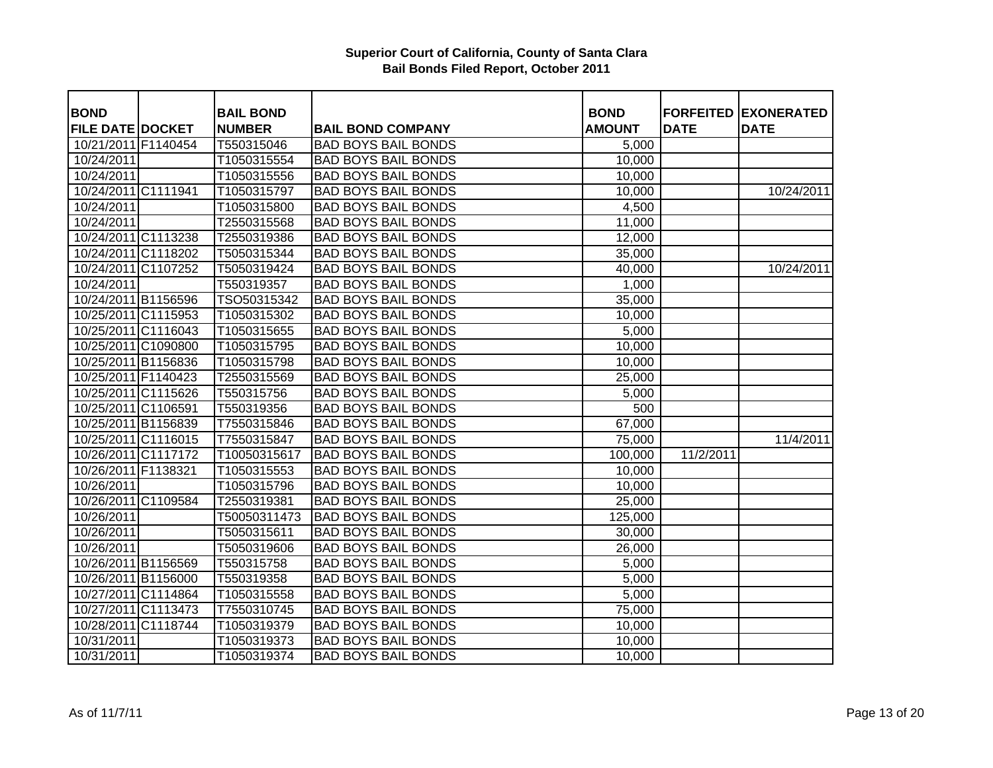| <b>BOND</b>             | <b>BAIL BOND</b> |                            | <b>BOND</b>   |             | <b>FORFEITED EXONERATED</b> |
|-------------------------|------------------|----------------------------|---------------|-------------|-----------------------------|
| <b>FILE DATE DOCKET</b> | <b>NUMBER</b>    | <b>BAIL BOND COMPANY</b>   | <b>AMOUNT</b> | <b>DATE</b> | <b>DATE</b>                 |
| 10/21/2011 F1140454     | T550315046       | <b>BAD BOYS BAIL BONDS</b> | 5,000         |             |                             |
| 10/24/2011              | T1050315554      | <b>BAD BOYS BAIL BONDS</b> | 10,000        |             |                             |
| 10/24/2011              | T1050315556      | <b>BAD BOYS BAIL BONDS</b> | 10,000        |             |                             |
| 10/24/2011 C1111941     | T1050315797      | <b>BAD BOYS BAIL BONDS</b> | 10,000        |             | 10/24/2011                  |
| 10/24/2011              | T1050315800      | <b>BAD BOYS BAIL BONDS</b> | 4,500         |             |                             |
| 10/24/2011              | T2550315568      | <b>BAD BOYS BAIL BONDS</b> | 11,000        |             |                             |
| 10/24/2011 C1113238     | T2550319386      | <b>BAD BOYS BAIL BONDS</b> | 12,000        |             |                             |
| 10/24/2011 C1118202     | T5050315344      | <b>BAD BOYS BAIL BONDS</b> | 35,000        |             |                             |
| 10/24/2011 C1107252     | T5050319424      | <b>BAD BOYS BAIL BONDS</b> | 40,000        |             | 10/24/2011                  |
| 10/24/2011              | T550319357       | <b>BAD BOYS BAIL BONDS</b> | 1,000         |             |                             |
| 10/24/2011 B1156596     | TSO50315342      | <b>BAD BOYS BAIL BONDS</b> | 35,000        |             |                             |
| 10/25/2011 C1115953     | T1050315302      | <b>BAD BOYS BAIL BONDS</b> | 10,000        |             |                             |
| 10/25/2011 C1116043     | T1050315655      | <b>BAD BOYS BAIL BONDS</b> | 5,000         |             |                             |
| 10/25/2011 C1090800     | T1050315795      | <b>BAD BOYS BAIL BONDS</b> | 10,000        |             |                             |
| 10/25/2011 B1156836     | T1050315798      | <b>BAD BOYS BAIL BONDS</b> | 10,000        |             |                             |
| 10/25/2011 F1140423     | T2550315569      | <b>BAD BOYS BAIL BONDS</b> | 25,000        |             |                             |
| 10/25/2011 C1115626     | T550315756       | <b>BAD BOYS BAIL BONDS</b> | 5,000         |             |                             |
| 10/25/2011 C1106591     | T550319356       | <b>BAD BOYS BAIL BONDS</b> | 500           |             |                             |
| 10/25/2011 B1156839     | T7550315846      | <b>BAD BOYS BAIL BONDS</b> | 67,000        |             |                             |
| 10/25/2011 C1116015     | T7550315847      | <b>BAD BOYS BAIL BONDS</b> | 75,000        |             | 11/4/2011                   |
| 10/26/2011 C1117172     | T10050315617     | <b>BAD BOYS BAIL BONDS</b> | 100,000       | 11/2/2011   |                             |
| 10/26/2011 F1138321     | T1050315553      | <b>BAD BOYS BAIL BONDS</b> | 10,000        |             |                             |
| 10/26/2011              | T1050315796      | <b>BAD BOYS BAIL BONDS</b> | 10,000        |             |                             |
| 10/26/2011 C1109584     | T2550319381      | <b>BAD BOYS BAIL BONDS</b> | 25,000        |             |                             |
| 10/26/2011              | T50050311473     | <b>BAD BOYS BAIL BONDS</b> | 125,000       |             |                             |
| 10/26/2011              | T5050315611      | <b>BAD BOYS BAIL BONDS</b> | 30,000        |             |                             |
| 10/26/2011              | T5050319606      | <b>BAD BOYS BAIL BONDS</b> | 26,000        |             |                             |
| 10/26/2011 B1156569     | T550315758       | <b>BAD BOYS BAIL BONDS</b> | 5,000         |             |                             |
| 10/26/2011 B1156000     | T550319358       | <b>BAD BOYS BAIL BONDS</b> | 5,000         |             |                             |
| 10/27/2011 C1114864     | T1050315558      | <b>BAD BOYS BAIL BONDS</b> | 5,000         |             |                             |
| 10/27/2011 C1113473     | T7550310745      | <b>BAD BOYS BAIL BONDS</b> | 75,000        |             |                             |
| 10/28/2011 C1118744     | T1050319379      | <b>BAD BOYS BAIL BONDS</b> | 10,000        |             |                             |
| 10/31/2011              | T1050319373      | <b>BAD BOYS BAIL BONDS</b> | 10,000        |             |                             |
| 10/31/2011              | T1050319374      | <b>BAD BOYS BAIL BONDS</b> | 10,000        |             |                             |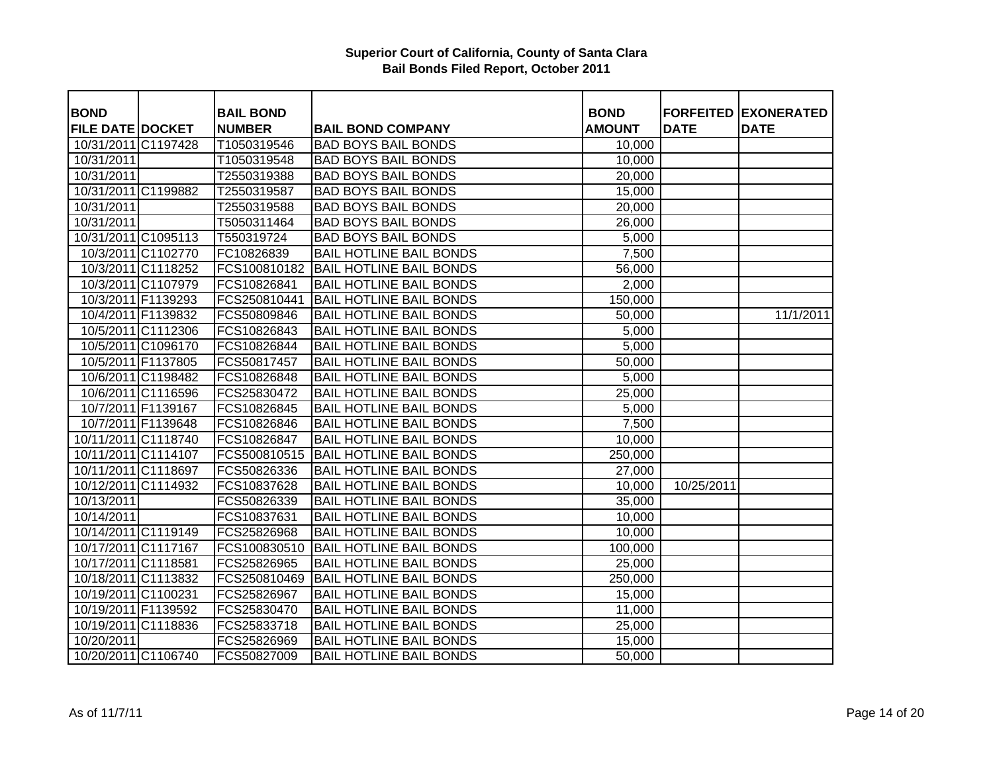| <b>BOND</b>             |                    | <b>BAIL BOND</b> |                                | <b>BOND</b>   |             | <b>FORFEITED EXONERATED</b> |
|-------------------------|--------------------|------------------|--------------------------------|---------------|-------------|-----------------------------|
| <b>FILE DATE DOCKET</b> |                    | <b>NUMBER</b>    | <b>BAIL BOND COMPANY</b>       | <b>AMOUNT</b> | <b>DATE</b> | <b>DATE</b>                 |
| 10/31/2011 C1197428     |                    | T1050319546      | <b>BAD BOYS BAIL BONDS</b>     | 10,000        |             |                             |
| 10/31/2011              |                    | T1050319548      | <b>BAD BOYS BAIL BONDS</b>     | 10,000        |             |                             |
| 10/31/2011              |                    | T2550319388      | <b>BAD BOYS BAIL BONDS</b>     | 20,000        |             |                             |
| 10/31/2011 C1199882     |                    | T2550319587      | <b>BAD BOYS BAIL BONDS</b>     | 15,000        |             |                             |
| 10/31/2011              |                    | T2550319588      | <b>BAD BOYS BAIL BONDS</b>     | 20,000        |             |                             |
| 10/31/2011              |                    | T5050311464      | <b>BAD BOYS BAIL BONDS</b>     | 26,000        |             |                             |
| 10/31/2011 C1095113     |                    | T550319724       | <b>BAD BOYS BAIL BONDS</b>     | 5,000         |             |                             |
|                         | 10/3/2011 C1102770 | FC10826839       | <b>BAIL HOTLINE BAIL BONDS</b> | 7,500         |             |                             |
|                         | 10/3/2011 C1118252 | FCS100810182     | <b>BAIL HOTLINE BAIL BONDS</b> | 56,000        |             |                             |
|                         | 10/3/2011 C1107979 | FCS10826841      | <b>BAIL HOTLINE BAIL BONDS</b> | 2,000         |             |                             |
|                         | 10/3/2011 F1139293 | FCS250810441     | <b>BAIL HOTLINE BAIL BONDS</b> | 150,000       |             |                             |
|                         | 10/4/2011 F1139832 | FCS50809846      | <b>BAIL HOTLINE BAIL BONDS</b> | 50,000        |             | 11/1/2011                   |
|                         | 10/5/2011 C1112306 | FCS10826843      | <b>BAIL HOTLINE BAIL BONDS</b> | 5,000         |             |                             |
|                         | 10/5/2011 C1096170 | FCS10826844      | <b>BAIL HOTLINE BAIL BONDS</b> | 5,000         |             |                             |
|                         | 10/5/2011 F1137805 | FCS50817457      | <b>BAIL HOTLINE BAIL BONDS</b> | 50,000        |             |                             |
|                         | 10/6/2011 C1198482 | FCS10826848      | <b>BAIL HOTLINE BAIL BONDS</b> | 5,000         |             |                             |
|                         | 10/6/2011 C1116596 | FCS25830472      | <b>BAIL HOTLINE BAIL BONDS</b> | 25,000        |             |                             |
|                         | 10/7/2011 F1139167 | FCS10826845      | <b>BAIL HOTLINE BAIL BONDS</b> | 5,000         |             |                             |
|                         | 10/7/2011 F1139648 | FCS10826846      | <b>BAIL HOTLINE BAIL BONDS</b> | 7,500         |             |                             |
| 10/11/2011 C1118740     |                    | FCS10826847      | <b>BAIL HOTLINE BAIL BONDS</b> | 10,000        |             |                             |
| 10/11/2011 C1114107     |                    | FCS500810515     | <b>BAIL HOTLINE BAIL BONDS</b> | 250,000       |             |                             |
| 10/11/2011 C1118697     |                    | FCS50826336      | <b>BAIL HOTLINE BAIL BONDS</b> | 27,000        |             |                             |
| 10/12/2011 C1114932     |                    | FCS10837628      | <b>BAIL HOTLINE BAIL BONDS</b> | 10,000        | 10/25/2011  |                             |
| 10/13/2011              |                    | FCS50826339      | <b>BAIL HOTLINE BAIL BONDS</b> | 35,000        |             |                             |
| 10/14/2011              |                    | FCS10837631      | <b>BAIL HOTLINE BAIL BONDS</b> | 10,000        |             |                             |
| 10/14/2011 C1119149     |                    | FCS25826968      | <b>BAIL HOTLINE BAIL BONDS</b> | 10,000        |             |                             |
| 10/17/2011 C1117167     |                    | FCS100830510     | <b>BAIL HOTLINE BAIL BONDS</b> | 100,000       |             |                             |
| 10/17/2011 C1118581     |                    | FCS25826965      | <b>BAIL HOTLINE BAIL BONDS</b> | 25,000        |             |                             |
| 10/18/2011 C1113832     |                    | FCS250810469     | <b>BAIL HOTLINE BAIL BONDS</b> | 250,000       |             |                             |
| 10/19/2011 C1100231     |                    | FCS25826967      | <b>BAIL HOTLINE BAIL BONDS</b> | 15,000        |             |                             |
| 10/19/2011 F1139592     |                    | FCS25830470      | <b>BAIL HOTLINE BAIL BONDS</b> | 11,000        |             |                             |
| 10/19/2011 C1118836     |                    | FCS25833718      | <b>BAIL HOTLINE BAIL BONDS</b> | 25,000        |             |                             |
| 10/20/2011              |                    | FCS25826969      | <b>BAIL HOTLINE BAIL BONDS</b> | 15,000        |             |                             |
| 10/20/2011 C1106740     |                    | FCS50827009      | <b>BAIL HOTLINE BAIL BONDS</b> | 50,000        |             |                             |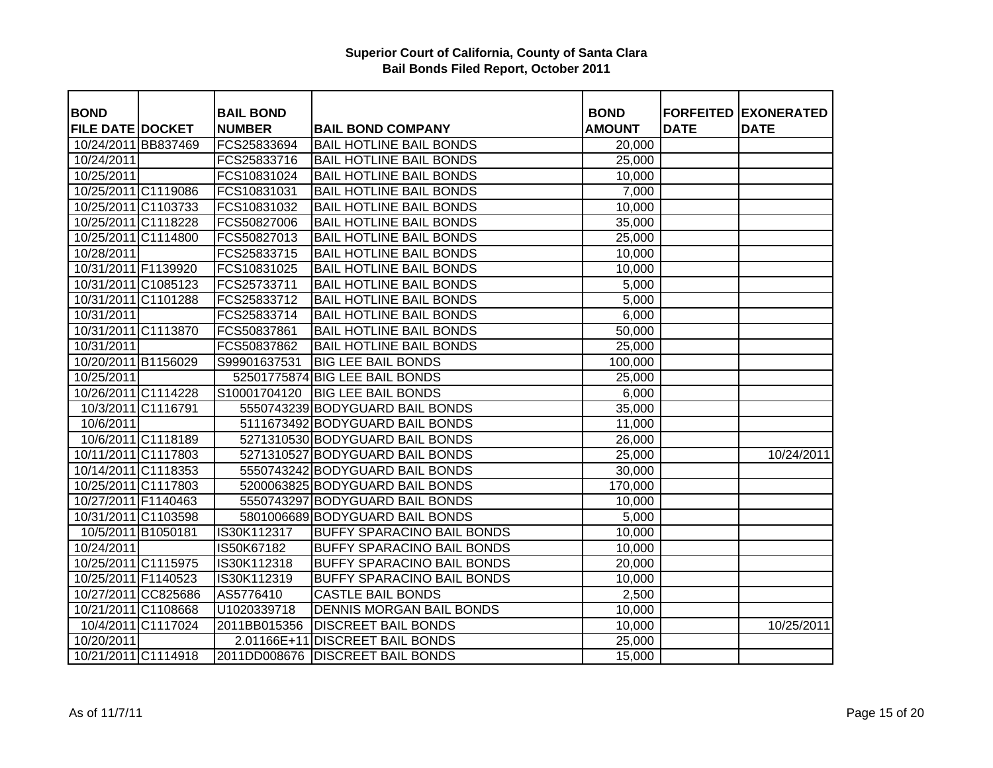| <b>BOND</b>             |                    | <b>BAIL BOND</b> |                                   | <b>BOND</b>   |             | <b>FORFEITED EXONERATED</b> |
|-------------------------|--------------------|------------------|-----------------------------------|---------------|-------------|-----------------------------|
| <b>FILE DATE DOCKET</b> |                    | <b>NUMBER</b>    | <b>BAIL BOND COMPANY</b>          | <b>AMOUNT</b> | <b>DATE</b> | <b>DATE</b>                 |
| 10/24/2011 BB837469     |                    | FCS25833694      | <b>BAIL HOTLINE BAIL BONDS</b>    | 20,000        |             |                             |
| 10/24/2011              |                    | FCS25833716      | <b>BAIL HOTLINE BAIL BONDS</b>    | 25,000        |             |                             |
| 10/25/2011              |                    | FCS10831024      | <b>BAIL HOTLINE BAIL BONDS</b>    | 10,000        |             |                             |
| 10/25/2011 C1119086     |                    | FCS10831031      | <b>BAIL HOTLINE BAIL BONDS</b>    | 7,000         |             |                             |
| 10/25/2011 C1103733     |                    | FCS10831032      | <b>BAIL HOTLINE BAIL BONDS</b>    | 10,000        |             |                             |
| 10/25/2011 C1118228     |                    | FCS50827006      | <b>BAIL HOTLINE BAIL BONDS</b>    | 35,000        |             |                             |
| 10/25/2011 C1114800     |                    | FCS50827013      | <b>BAIL HOTLINE BAIL BONDS</b>    | 25,000        |             |                             |
| 10/28/2011              |                    | FCS25833715      | <b>BAIL HOTLINE BAIL BONDS</b>    | 10,000        |             |                             |
| 10/31/2011 F1139920     |                    | FCS10831025      | <b>BAIL HOTLINE BAIL BONDS</b>    | 10,000        |             |                             |
| 10/31/2011 C1085123     |                    | FCS25733711      | <b>BAIL HOTLINE BAIL BONDS</b>    | 5,000         |             |                             |
| 10/31/2011 C1101288     |                    | FCS25833712      | <b>BAIL HOTLINE BAIL BONDS</b>    | 5,000         |             |                             |
| 10/31/2011              |                    | FCS25833714      | <b>BAIL HOTLINE BAIL BONDS</b>    | 6,000         |             |                             |
| 10/31/2011 C1113870     |                    | FCS50837861      | <b>BAIL HOTLINE BAIL BONDS</b>    | 50,000        |             |                             |
| 10/31/2011              |                    | FCS50837862      | <b>BAIL HOTLINE BAIL BONDS</b>    | 25,000        |             |                             |
| 10/20/2011 B1156029     |                    | S99901637531     | <b>BIG LEE BAIL BONDS</b>         | 100,000       |             |                             |
| 10/25/2011              |                    |                  | 52501775874 BIG LEE BAIL BONDS    | 25,000        |             |                             |
| 10/26/2011 C1114228     |                    | S10001704120     | <b>BIG LEE BAIL BONDS</b>         | 6,000         |             |                             |
|                         | 10/3/2011 C1116791 |                  | 5550743239 BODYGUARD BAIL BONDS   | 35,000        |             |                             |
| 10/6/2011               |                    |                  | 5111673492 BODYGUARD BAIL BONDS   | 11,000        |             |                             |
|                         | 10/6/2011 C1118189 |                  | 5271310530 BODYGUARD BAIL BONDS   | 26,000        |             |                             |
| 10/11/2011 C1117803     |                    |                  | 5271310527 BODYGUARD BAIL BONDS   | 25,000        |             | 10/24/2011                  |
| 10/14/2011 C1118353     |                    |                  | 5550743242 BODYGUARD BAIL BONDS   | 30,000        |             |                             |
| 10/25/2011 C1117803     |                    |                  | 5200063825 BODYGUARD BAIL BONDS   | 170,000       |             |                             |
| 10/27/2011 F1140463     |                    |                  | 5550743297 BODYGUARD BAIL BONDS   | 10,000        |             |                             |
| 10/31/2011 C1103598     |                    |                  | 5801006689 BODYGUARD BAIL BONDS   | 5,000         |             |                             |
| 10/5/2011 B1050181      |                    | IS30K112317      | <b>BUFFY SPARACINO BAIL BONDS</b> | 10,000        |             |                             |
| 10/24/2011              |                    | IS50K67182       | <b>BUFFY SPARACINO BAIL BONDS</b> | 10,000        |             |                             |
| 10/25/2011 C1115975     |                    | IS30K112318      | <b>BUFFY SPARACINO BAIL BONDS</b> | 20,000        |             |                             |
| 10/25/2011 F1140523     |                    | IS30K112319      | <b>BUFFY SPARACINO BAIL BONDS</b> | 10,000        |             |                             |
| 10/27/2011 CC825686     |                    | AS5776410        | <b>CASTLE BAIL BONDS</b>          | 2,500         |             |                             |
| 10/21/2011 C1108668     |                    | U1020339718      | <b>DENNIS MORGAN BAIL BONDS</b>   | 10,000        |             |                             |
|                         | 10/4/2011 C1117024 | 2011BB015356     | <b>DISCREET BAIL BONDS</b>        | 10,000        |             | 10/25/2011                  |
| 10/20/2011              |                    |                  | 2.01166E+11 DISCREET BAIL BONDS   | 25,000        |             |                             |
| 10/21/2011 C1114918     |                    |                  | 2011DD008676 DISCREET BAIL BONDS  | 15,000        |             |                             |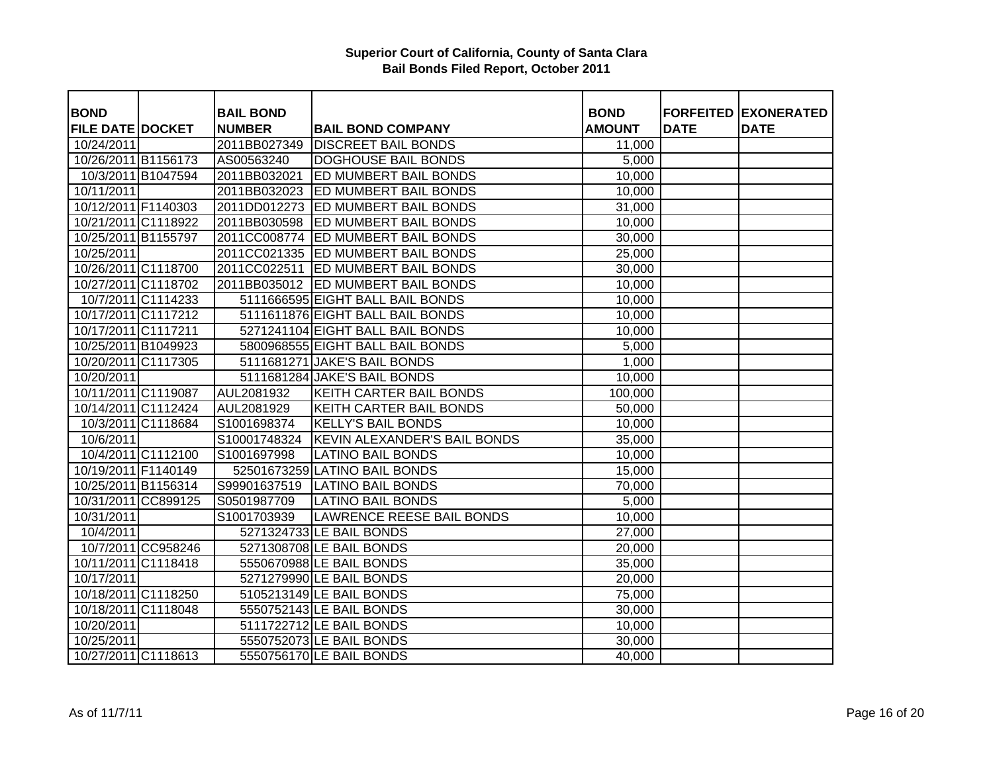| <b>BOND</b>             |                    | <b>BAIL BOND</b> |                                  | <b>BOND</b>   |             | <b>FORFEITED EXONERATED</b> |
|-------------------------|--------------------|------------------|----------------------------------|---------------|-------------|-----------------------------|
| <b>FILE DATE DOCKET</b> |                    | <b>NUMBER</b>    | <b>BAIL BOND COMPANY</b>         | <b>AMOUNT</b> | <b>DATE</b> | <b>DATE</b>                 |
| 10/24/2011              |                    | 2011BB027349     | <b>DISCREET BAIL BONDS</b>       | 11,000        |             |                             |
| 10/26/2011 B1156173     |                    | AS00563240       | <b>DOGHOUSE BAIL BONDS</b>       | 5,000         |             |                             |
|                         | 10/3/2011 B1047594 | 2011BB032021     | <b>ED MUMBERT BAIL BONDS</b>     | 10,000        |             |                             |
| 10/11/2011              |                    | 2011BB032023     | <b>ED MUMBERT BAIL BONDS</b>     | 10,000        |             |                             |
| 10/12/2011 F1140303     |                    | 2011DD012273     | <b>ED MUMBERT BAIL BONDS</b>     | 31,000        |             |                             |
| 10/21/2011 C1118922     |                    | 2011BB030598     | <b>ED MUMBERT BAIL BONDS</b>     | 10,000        |             |                             |
| 10/25/2011 B1155797     |                    | 2011CC008774     | <b>ED MUMBERT BAIL BONDS</b>     | 30,000        |             |                             |
| 10/25/2011              |                    | 2011CC021335     | <b>ED MUMBERT BAIL BONDS</b>     | 25,000        |             |                             |
| 10/26/2011 C1118700     |                    | 2011CC022511     | <b>ED MUMBERT BAIL BONDS</b>     | 30,000        |             |                             |
| 10/27/2011 C1118702     |                    | 2011BB035012     | <b>ED MUMBERT BAIL BONDS</b>     | 10,000        |             |                             |
|                         | 10/7/2011 C1114233 |                  | 5111666595 EIGHT BALL BAIL BONDS | 10,000        |             |                             |
| 10/17/2011 C1117212     |                    |                  | 5111611876 EIGHT BALL BAIL BONDS | 10,000        |             |                             |
| 10/17/2011 C1117211     |                    |                  | 5271241104 EIGHT BALL BAIL BONDS | 10,000        |             |                             |
| 10/25/2011 B1049923     |                    |                  | 5800968555 EIGHT BALL BAIL BONDS | 5,000         |             |                             |
| 10/20/2011 C1117305     |                    |                  | 5111681271 JAKE'S BAIL BONDS     | 1,000         |             |                             |
| 10/20/2011              |                    |                  | 5111681284 JAKE'S BAIL BONDS     | 10,000        |             |                             |
| 10/11/2011 C1119087     |                    | AUL2081932       | <b>KEITH CARTER BAIL BONDS</b>   | 100,000       |             |                             |
| 10/14/2011 C1112424     |                    | AUL2081929       | <b>KEITH CARTER BAIL BONDS</b>   | 50,000        |             |                             |
|                         | 10/3/2011 C1118684 | S1001698374      | <b>KELLY'S BAIL BONDS</b>        | 10,000        |             |                             |
| 10/6/2011               |                    | S10001748324     | KEVIN ALEXANDER'S BAIL BONDS     | 35,000        |             |                             |
|                         | 10/4/2011 C1112100 | S1001697998      | <b>LATINO BAIL BONDS</b>         | 10,000        |             |                             |
| 10/19/2011 F1140149     |                    |                  | 52501673259 LATINO BAIL BONDS    | 15,000        |             |                             |
| 10/25/2011 B1156314     |                    | S99901637519     | <b>LATINO BAIL BONDS</b>         | 70,000        |             |                             |
| 10/31/2011 CC899125     |                    | S0501987709      | <b>LATINO BAIL BONDS</b>         | 5,000         |             |                             |
| 10/31/2011              |                    | S1001703939      | <b>LAWRENCE REESE BAIL BONDS</b> | 10,000        |             |                             |
| 10/4/2011               |                    |                  | 5271324733 LE BAIL BONDS         | 27,000        |             |                             |
|                         | 10/7/2011 CC958246 |                  | 5271308708 LE BAIL BONDS         | 20,000        |             |                             |
| 10/11/2011 C1118418     |                    |                  | 5550670988 LE BAIL BONDS         | 35,000        |             |                             |
| 10/17/2011              |                    |                  | 5271279990 LE BAIL BONDS         | 20,000        |             |                             |
| 10/18/2011 C1118250     |                    |                  | 5105213149 LE BAIL BONDS         | 75,000        |             |                             |
| 10/18/2011 C1118048     |                    |                  | 5550752143 LE BAIL BONDS         | 30,000        |             |                             |
| 10/20/2011              |                    |                  | 5111722712 LE BAIL BONDS         | 10,000        |             |                             |
| 10/25/2011              |                    |                  | 5550752073 LE BAIL BONDS         | 30,000        |             |                             |
| 10/27/2011 C1118613     |                    |                  | 5550756170 LE BAIL BONDS         | 40,000        |             |                             |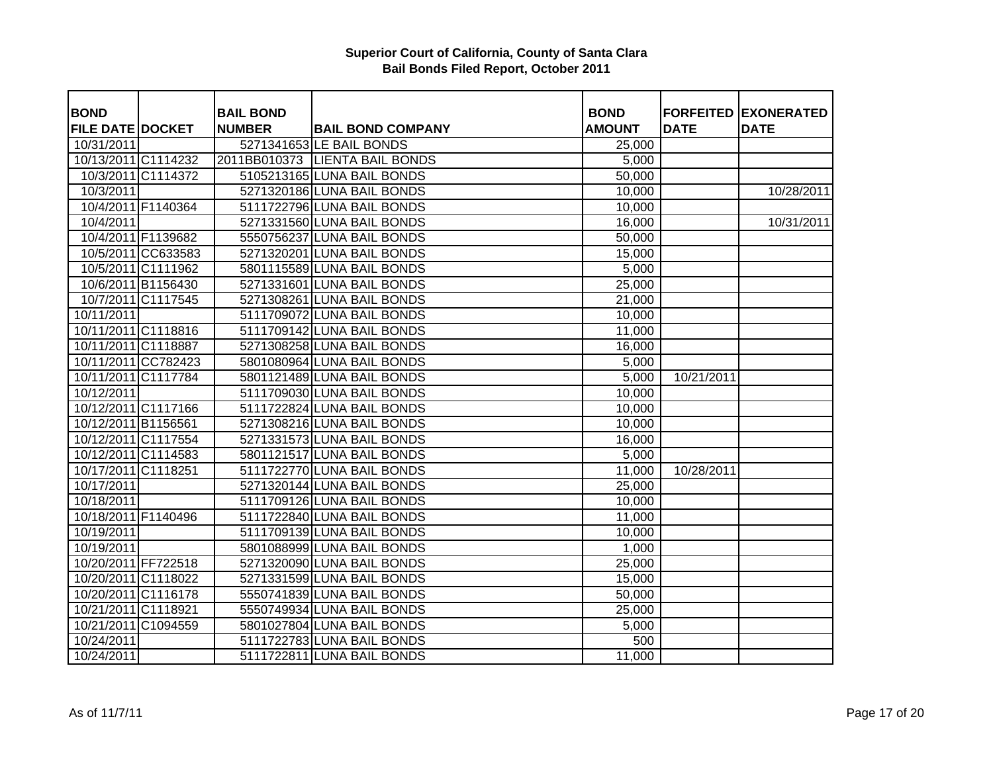| <b>BOND</b>             |                    | <b>BAIL BOND</b> |                                | <b>BOND</b>   |             | <b>FORFEITED EXONERATED</b> |
|-------------------------|--------------------|------------------|--------------------------------|---------------|-------------|-----------------------------|
| <b>FILE DATE DOCKET</b> |                    | <b>NUMBER</b>    | <b>BAIL BOND COMPANY</b>       | <b>AMOUNT</b> | <b>DATE</b> | <b>DATE</b>                 |
| 10/31/2011              |                    |                  | 5271341653 LE BAIL BONDS       | 25,000        |             |                             |
| 10/13/2011 C1114232     |                    |                  | 2011BB010373 LIENTA BAIL BONDS | 5,000         |             |                             |
|                         | 10/3/2011 C1114372 |                  | 5105213165 LUNA BAIL BONDS     | 50,000        |             |                             |
| 10/3/2011               |                    |                  | 5271320186 LUNA BAIL BONDS     | 10,000        |             | 10/28/2011                  |
|                         | 10/4/2011 F1140364 |                  | 5111722796 LUNA BAIL BONDS     | 10,000        |             |                             |
| 10/4/2011               |                    |                  | 5271331560 LUNA BAIL BONDS     | 16,000        |             | 10/31/2011                  |
|                         | 10/4/2011 F1139682 |                  | 5550756237 LUNA BAIL BONDS     | 50,000        |             |                             |
|                         | 10/5/2011 CC633583 |                  | 5271320201 LUNA BAIL BONDS     | 15,000        |             |                             |
|                         | 10/5/2011 C1111962 |                  | 5801115589 LUNA BAIL BONDS     | 5,000         |             |                             |
|                         | 10/6/2011 B1156430 |                  | 5271331601 LUNA BAIL BONDS     | 25,000        |             |                             |
|                         | 10/7/2011 C1117545 |                  | 5271308261 LUNA BAIL BONDS     | 21,000        |             |                             |
| 10/11/2011              |                    |                  | 5111709072 LUNA BAIL BONDS     | 10,000        |             |                             |
| 10/11/2011 C1118816     |                    |                  | 5111709142 LUNA BAIL BONDS     | 11,000        |             |                             |
| 10/11/2011 C1118887     |                    |                  | 5271308258 LUNA BAIL BONDS     | 16,000        |             |                             |
| 10/11/2011 CC782423     |                    |                  | 5801080964 LUNA BAIL BONDS     | 5,000         |             |                             |
| 10/11/2011 C1117784     |                    |                  | 5801121489 LUNA BAIL BONDS     | 5,000         | 10/21/2011  |                             |
| 10/12/2011              |                    |                  | 5111709030 LUNA BAIL BONDS     | 10,000        |             |                             |
| 10/12/2011 C1117166     |                    |                  | 5111722824 LUNA BAIL BONDS     | 10,000        |             |                             |
| 10/12/2011 B1156561     |                    |                  | 5271308216 LUNA BAIL BONDS     | 10,000        |             |                             |
| 10/12/2011 C1117554     |                    |                  | 5271331573 LUNA BAIL BONDS     | 16,000        |             |                             |
| 10/12/2011 C1114583     |                    |                  | 5801121517 LUNA BAIL BONDS     | 5,000         |             |                             |
| 10/17/2011 C1118251     |                    |                  | 5111722770 LUNA BAIL BONDS     | 11,000        | 10/28/2011  |                             |
| 10/17/2011              |                    |                  | 5271320144 LUNA BAIL BONDS     | 25,000        |             |                             |
| 10/18/2011              |                    |                  | 5111709126 LUNA BAIL BONDS     | 10,000        |             |                             |
| 10/18/2011 F1140496     |                    |                  | 5111722840 LUNA BAIL BONDS     | 11,000        |             |                             |
| 10/19/2011              |                    |                  | 5111709139 LUNA BAIL BONDS     | 10,000        |             |                             |
| 10/19/2011              |                    |                  | 5801088999 LUNA BAIL BONDS     | 1,000         |             |                             |
| 10/20/2011 FF722518     |                    |                  | 5271320090 LUNA BAIL BONDS     | 25,000        |             |                             |
| 10/20/2011 C1118022     |                    |                  | 5271331599 LUNA BAIL BONDS     | 15,000        |             |                             |
| 10/20/2011 C1116178     |                    |                  | 5550741839 LUNA BAIL BONDS     | 50,000        |             |                             |
| 10/21/2011 C1118921     |                    |                  | 5550749934 LUNA BAIL BONDS     | 25,000        |             |                             |
| 10/21/2011 C1094559     |                    |                  | 5801027804 LUNA BAIL BONDS     | 5,000         |             |                             |
| 10/24/2011              |                    |                  | 5111722783 LUNA BAIL BONDS     | 500           |             |                             |
| 10/24/2011              |                    |                  | 5111722811 LUNA BAIL BONDS     | 11,000        |             |                             |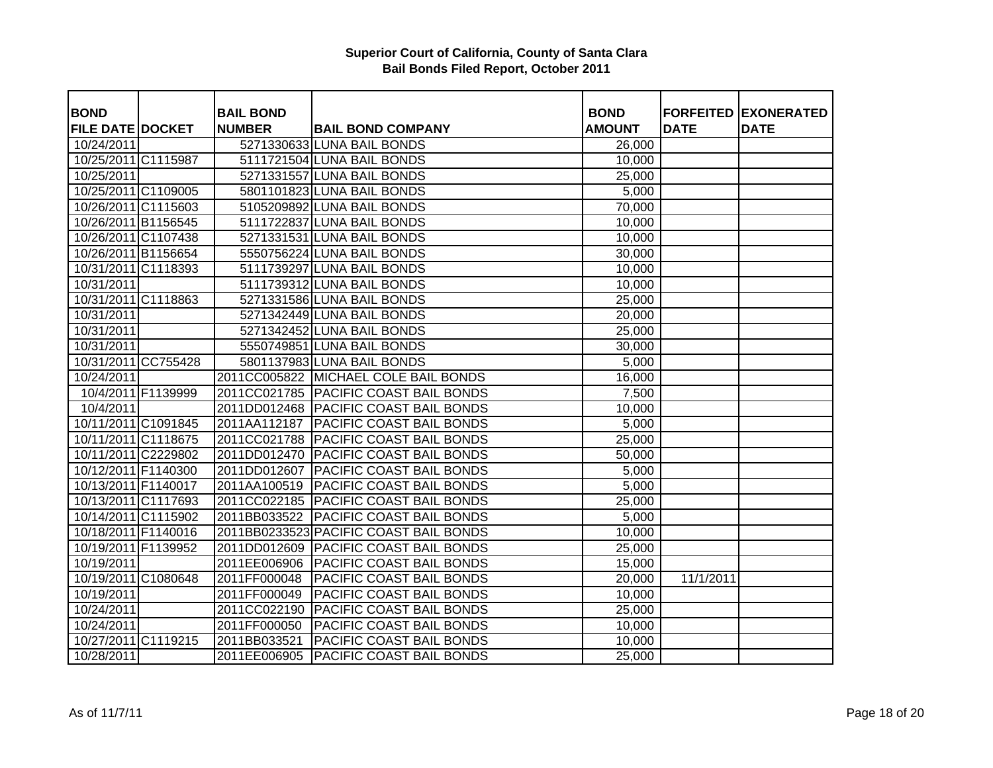| <b>BOND</b>             |                    | <b>BAIL BOND</b> |                                        | <b>BOND</b>   |             | <b>FORFEITED EXONERATED</b> |
|-------------------------|--------------------|------------------|----------------------------------------|---------------|-------------|-----------------------------|
| <b>FILE DATE DOCKET</b> |                    | <b>NUMBER</b>    | <b>BAIL BOND COMPANY</b>               | <b>AMOUNT</b> | <b>DATE</b> | <b>DATE</b>                 |
| 10/24/2011              |                    |                  | 5271330633 LUNA BAIL BONDS             | 26,000        |             |                             |
| 10/25/2011 C1115987     |                    |                  | 5111721504 LUNA BAIL BONDS             | 10,000        |             |                             |
| 10/25/2011              |                    |                  | 5271331557 LUNA BAIL BONDS             | 25,000        |             |                             |
| 10/25/2011 C1109005     |                    |                  | 5801101823 LUNA BAIL BONDS             | 5,000         |             |                             |
| 10/26/2011 C1115603     |                    |                  | 5105209892 LUNA BAIL BONDS             | 70,000        |             |                             |
| 10/26/2011 B1156545     |                    |                  | 5111722837 LUNA BAIL BONDS             | 10,000        |             |                             |
| 10/26/2011 C1107438     |                    |                  | 5271331531 LUNA BAIL BONDS             | 10,000        |             |                             |
| 10/26/2011 B1156654     |                    |                  | 5550756224 LUNA BAIL BONDS             | 30,000        |             |                             |
| 10/31/2011 C1118393     |                    |                  | 5111739297 LUNA BAIL BONDS             | 10,000        |             |                             |
| 10/31/2011              |                    |                  | 5111739312 LUNA BAIL BONDS             | 10,000        |             |                             |
| 10/31/2011 C1118863     |                    |                  | 5271331586 LUNA BAIL BONDS             | 25,000        |             |                             |
| 10/31/2011              |                    |                  | 5271342449 LUNA BAIL BONDS             | 20,000        |             |                             |
| 10/31/2011              |                    |                  | 5271342452 LUNA BAIL BONDS             | 25,000        |             |                             |
| 10/31/2011              |                    |                  | 5550749851 LUNA BAIL BONDS             | 30,000        |             |                             |
| 10/31/2011 CC755428     |                    |                  | 5801137983 LUNA BAIL BONDS             | 5,000         |             |                             |
| 10/24/2011              |                    |                  | 2011CC005822 MICHAEL COLE BAIL BONDS   | 16,000        |             |                             |
|                         | 10/4/2011 F1139999 |                  | 2011CC021785 PACIFIC COAST BAIL BONDS  | 7,500         |             |                             |
| 10/4/2011               |                    |                  | 2011DD012468 PACIFIC COAST BAIL BONDS  | 10,000        |             |                             |
| 10/11/2011 C1091845     |                    | 2011AA112187     | <b>PACIFIC COAST BAIL BONDS</b>        | 5,000         |             |                             |
| 10/11/2011 C1118675     |                    | 2011CC021788     | <b>PACIFIC COAST BAIL BONDS</b>        | 25,000        |             |                             |
| 10/11/2011 C2229802     |                    | 2011DD012470     | <b>PACIFIC COAST BAIL BONDS</b>        | 50,000        |             |                             |
| 10/12/2011 F1140300     |                    | 2011DD012607     | <b>PACIFIC COAST BAIL BONDS</b>        | 5,000         |             |                             |
| 10/13/2011 F1140017     |                    | 2011AA100519     | <b>PACIFIC COAST BAIL BONDS</b>        | 5,000         |             |                             |
| 10/13/2011 C1117693     |                    | 2011CC022185     | <b>PACIFIC COAST BAIL BONDS</b>        | 25,000        |             |                             |
| 10/14/2011 C1115902     |                    | 2011BB033522     | <b>PACIFIC COAST BAIL BONDS</b>        | 5,000         |             |                             |
| 10/18/2011 F1140016     |                    |                  | 2011BB0233523 PACIFIC COAST BAIL BONDS | 10,000        |             |                             |
| 10/19/2011 F1139952     |                    | 2011DD012609     | <b>PACIFIC COAST BAIL BONDS</b>        | 25,000        |             |                             |
| 10/19/2011              |                    | 2011EE006906     | <b>PACIFIC COAST BAIL BONDS</b>        | 15,000        |             |                             |
| 10/19/2011 C1080648     |                    | 2011FF000048     | <b>PACIFIC COAST BAIL BONDS</b>        | 20,000        | 11/1/2011   |                             |
| 10/19/2011              |                    | 2011FF000049     | <b>PACIFIC COAST BAIL BONDS</b>        | 10,000        |             |                             |
| 10/24/2011              |                    | 2011CC022190     | <b>PACIFIC COAST BAIL BONDS</b>        | 25,000        |             |                             |
| 10/24/2011              |                    | 2011FF000050     | <b>PACIFIC COAST BAIL BONDS</b>        | 10,000        |             |                             |
| 10/27/2011 C1119215     |                    | 2011BB033521     | <b>PACIFIC COAST BAIL BONDS</b>        | 10,000        |             |                             |
| 10/28/2011              |                    | 2011EE006905     | <b>PACIFIC COAST BAIL BONDS</b>        | 25,000        |             |                             |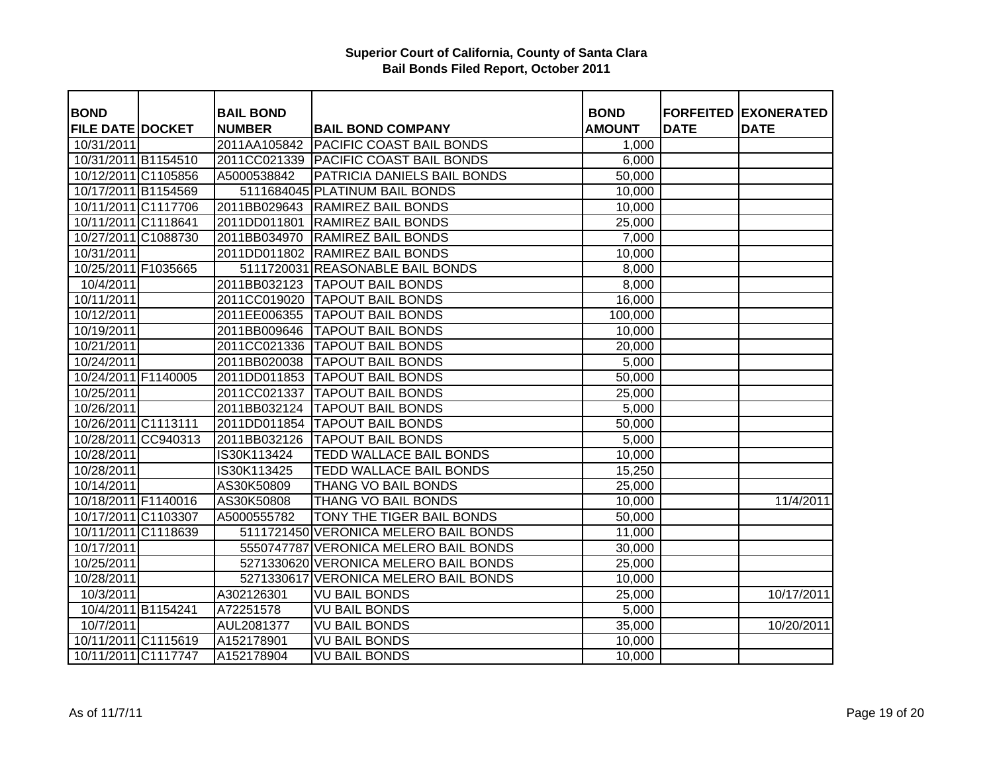| <b>BOND</b>             |                    | <b>BAIL BOND</b> |                                       | <b>BOND</b>   |             | <b>FORFEITED EXONERATED</b> |
|-------------------------|--------------------|------------------|---------------------------------------|---------------|-------------|-----------------------------|
| <b>FILE DATE DOCKET</b> |                    | <b>NUMBER</b>    | <b>BAIL BOND COMPANY</b>              | <b>AMOUNT</b> | <b>DATE</b> | <b>DATE</b>                 |
| 10/31/2011              |                    | 2011AA105842     | <b>PACIFIC COAST BAIL BONDS</b>       | 1,000         |             |                             |
| 10/31/2011 B1154510     |                    | 2011CC021339     | <b>PACIFIC COAST BAIL BONDS</b>       | 6,000         |             |                             |
| 10/12/2011 C1105856     |                    | A5000538842      | PATRICIA DANIELS BAIL BONDS           | 50,000        |             |                             |
| 10/17/2011 B1154569     |                    |                  | 5111684045 PLATINUM BAIL BONDS        | 10,000        |             |                             |
| 10/11/2011 C1117706     |                    | 2011BB029643     | <b>RAMIREZ BAIL BONDS</b>             | 10,000        |             |                             |
| 10/11/2011 C1118641     |                    | 2011DD011801     | <b>RAMIREZ BAIL BONDS</b>             | 25,000        |             |                             |
| 10/27/2011 C1088730     |                    | 2011BB034970     | <b>RAMIREZ BAIL BONDS</b>             | 7,000         |             |                             |
|                         |                    |                  |                                       |               |             |                             |
| 10/31/2011              |                    | 2011DD011802     | <b>RAMIREZ BAIL BONDS</b>             | 10,000        |             |                             |
| 10/25/2011 F1035665     |                    |                  | 5111720031 REASONABLE BAIL BONDS      | 8,000         |             |                             |
| 10/4/2011               |                    | 2011BB032123     | <b>TAPOUT BAIL BONDS</b>              | 8,000         |             |                             |
| 10/11/2011              |                    | 2011CC019020     | <b>TAPOUT BAIL BONDS</b>              | 16,000        |             |                             |
| 10/12/2011              |                    | 2011EE006355     | <b>TAPOUT BAIL BONDS</b>              | 100,000       |             |                             |
| 10/19/2011              |                    | 2011BB009646     | <b>TAPOUT BAIL BONDS</b>              | 10,000        |             |                             |
| 10/21/2011              |                    |                  | 2011CC021336   TAPOUT BAIL BONDS      | 20,000        |             |                             |
| 10/24/2011              |                    | 2011BB020038     | <b>TAPOUT BAIL BONDS</b>              | 5,000         |             |                             |
| 10/24/2011 F1140005     |                    | 2011DD011853     | <b>TAPOUT BAIL BONDS</b>              | 50,000        |             |                             |
| 10/25/2011              |                    | 2011CC021337     | <b>TAPOUT BAIL BONDS</b>              | 25,000        |             |                             |
| 10/26/2011              |                    | 2011BB032124     | <b>TAPOUT BAIL BONDS</b>              | 5,000         |             |                             |
| 10/26/2011 C1113111     |                    | 2011DD011854     | <b>TAPOUT BAIL BONDS</b>              | 50,000        |             |                             |
| 10/28/2011 CC940313     |                    | 2011BB032126     | <b>TAPOUT BAIL BONDS</b>              | 5,000         |             |                             |
| 10/28/2011              |                    | IS30K113424      | TEDD WALLACE BAIL BONDS               | 10,000        |             |                             |
| 10/28/2011              |                    | IS30K113425      | TEDD WALLACE BAIL BONDS               | 15,250        |             |                             |
| 10/14/2011              |                    | AS30K50809       | THANG VO BAIL BONDS                   | 25,000        |             |                             |
| 10/18/2011 F1140016     |                    | AS30K50808       | THANG VO BAIL BONDS                   | 10,000        |             | 11/4/2011                   |
| 10/17/2011 C1103307     |                    | A5000555782      | TONY THE TIGER BAIL BONDS             | 50,000        |             |                             |
| 10/11/2011 C1118639     |                    |                  | 5111721450 VERONICA MELERO BAIL BONDS | 11,000        |             |                             |
| 10/17/2011              |                    |                  | 5550747787 VERONICA MELERO BAIL BONDS | 30,000        |             |                             |
| 10/25/2011              |                    |                  | 5271330620 VERONICA MELERO BAIL BONDS | 25,000        |             |                             |
| 10/28/2011              |                    |                  | 5271330617 VERONICA MELERO BAIL BONDS | 10,000        |             |                             |
| 10/3/2011               |                    | A302126301       | <b>VU BAIL BONDS</b>                  | 25,000        |             | 10/17/2011                  |
|                         | 10/4/2011 B1154241 | A72251578        | <b>VU BAIL BONDS</b>                  | 5,000         |             |                             |
| 10/7/2011               |                    | AUL2081377       | <b>VU BAIL BONDS</b>                  | 35,000        |             | 10/20/2011                  |
| 10/11/2011 C1115619     |                    | A152178901       | <b>VU BAIL BONDS</b>                  | 10,000        |             |                             |
| 10/11/2011 C1117747     |                    | A152178904       | <b>VU BAIL BONDS</b>                  | 10,000        |             |                             |